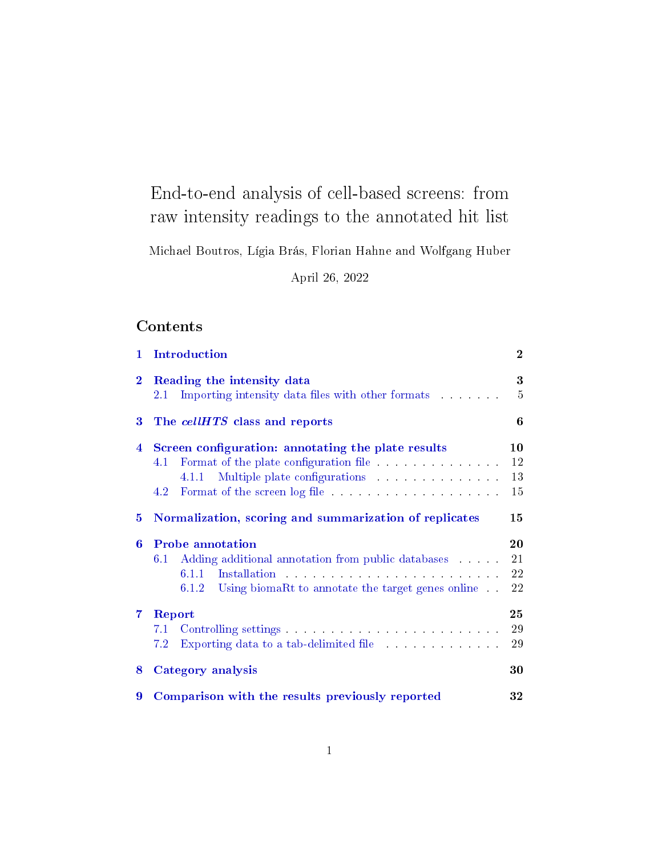# End-to-end analysis of cell-based screens: from raw intensity readings to the annotated hit list

Michael Boutros, Lígia Brás, Florian Hahne and Wolfgang Huber

April 26, 2022

# Contents

| $\mathbf{1}$   | Introduction                                                                                                                                                                                                                            | $\bf{2}$       |
|----------------|-----------------------------------------------------------------------------------------------------------------------------------------------------------------------------------------------------------------------------------------|----------------|
| $\bf{2}$       | Reading the intensity data                                                                                                                                                                                                              | 3              |
|                | Importing intensity data files with other formats<br>$2.1\,$                                                                                                                                                                            | $\overline{5}$ |
| 3              | The cellHTS class and reports                                                                                                                                                                                                           | 6              |
| $\overline{4}$ | Screen configuration: annotating the plate results                                                                                                                                                                                      | 10             |
|                | 4.1                                                                                                                                                                                                                                     | 12             |
|                | Multiple plate configurations<br>4.1.1                                                                                                                                                                                                  | 13             |
|                | 4.2                                                                                                                                                                                                                                     | 15             |
| 5              | Normalization, scoring and summarization of replicates                                                                                                                                                                                  | 15             |
| 6              | <b>Probe annotation</b>                                                                                                                                                                                                                 | 20             |
|                | Adding additional annotation from public databases<br>6.1                                                                                                                                                                               | 21             |
|                | Installation and a series of the contract of the series of the series of the series of the series of the series of the series of the series of the series of the series of the series of the series of the series of the serie<br>6.1.1 | 22             |
|                | Using biomaRt to annotate the target genes online<br>6.1.2                                                                                                                                                                              | 22             |
| 7              | Report                                                                                                                                                                                                                                  | 25             |
|                | 7.1                                                                                                                                                                                                                                     | 29             |
|                | Exporting data to a tab-delimited file entertainment of the set of the set of the set of the set of the set of the set of the set of the set of the set of the set of the set of the set of the set of the set of the set of t<br>7.2   | 29             |
| 8              | Category analysis                                                                                                                                                                                                                       | 30             |
| 9              | Comparison with the results previously reported                                                                                                                                                                                         | 32             |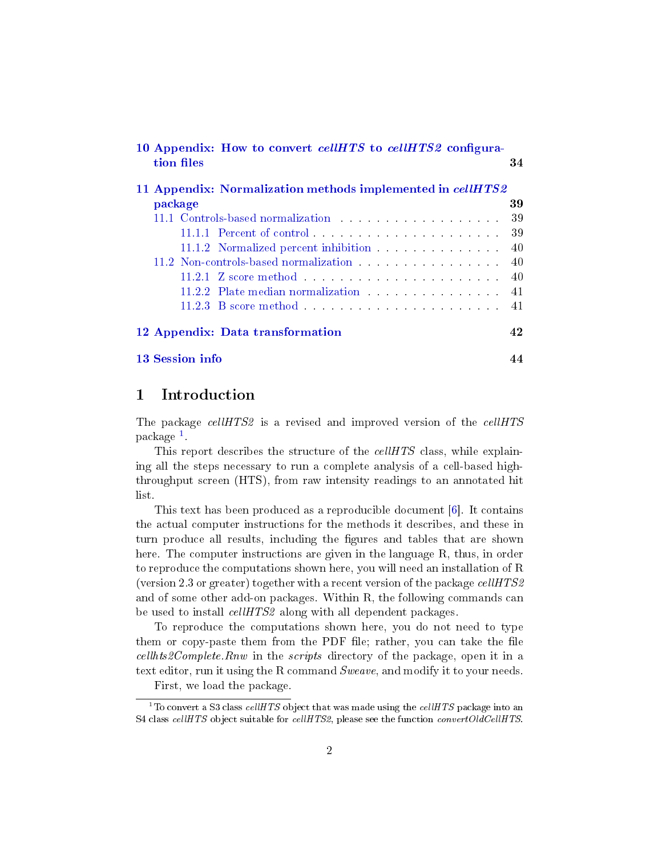<span id="page-1-2"></span>

| 10 Appendix: How to convert cellHTS to cellHTS2 configura-<br>tion files                                                                                                                                                       |    |  |  |  |  |  |
|--------------------------------------------------------------------------------------------------------------------------------------------------------------------------------------------------------------------------------|----|--|--|--|--|--|
| 11 Appendix: Normalization methods implemented in cellHTS2<br>package                                                                                                                                                          | 39 |  |  |  |  |  |
| 11.1 Controls-based normalization and all controls of the control of the control of the control of the control of the control of the control of the control of the control of the control of the control of the control of the | 39 |  |  |  |  |  |
|                                                                                                                                                                                                                                |    |  |  |  |  |  |
| 11.1.1 Percent of control                                                                                                                                                                                                      | 39 |  |  |  |  |  |
| 11.1.2 Normalized percent inhibition                                                                                                                                                                                           | 40 |  |  |  |  |  |
| 11.2 Non-controls-based normalization                                                                                                                                                                                          | 40 |  |  |  |  |  |
|                                                                                                                                                                                                                                | 40 |  |  |  |  |  |
| 11.2.2 Plate median normalization                                                                                                                                                                                              | 41 |  |  |  |  |  |
| 11.2.3 B score method                                                                                                                                                                                                          | 41 |  |  |  |  |  |
| 12 Appendix: Data transformation                                                                                                                                                                                               | 42 |  |  |  |  |  |
| 13 Session info                                                                                                                                                                                                                | 44 |  |  |  |  |  |

### <span id="page-1-0"></span>1 Introduction

The package cellHTS2 is a revised and improved version of the cellHTS package [1](#page-1-1) .

This report describes the structure of the *cellHTS* class, while explaining all the steps necessary to run a complete analysis of a cell-based highthroughput screen (HTS), from raw intensity readings to an annotated hit list.

This text has been produced as a reproducible document [\[6\]](#page-44-0). It contains the actual computer instructions for the methods it describes, and these in turn produce all results, including the figures and tables that are shown here. The computer instructions are given in the language R, thus, in order to reproduce the computations shown here, you will need an installation of R (version 2.3 or greater) together with a recent version of the package  $cellHTS2$ and of some other add-on packages. Within R, the following commands can be used to install *cellHTS2* along with all dependent packages.

To reproduce the computations shown here, you do not need to type them or copy-paste them from the PDF file; rather, you can take the file cellhts2Complete.Rnw in the scripts directory of the package, open it in a text editor, run it using the R command Sweave, and modify it to your needs.

First, we load the package.

<span id="page-1-1"></span><sup>&</sup>lt;sup>1</sup>To convert a S3 class *cellHTS* object that was made using the *cellHTS* package into an S4 class cellHTS object suitable for cellHTS2, please see the function convertOldCellHTS.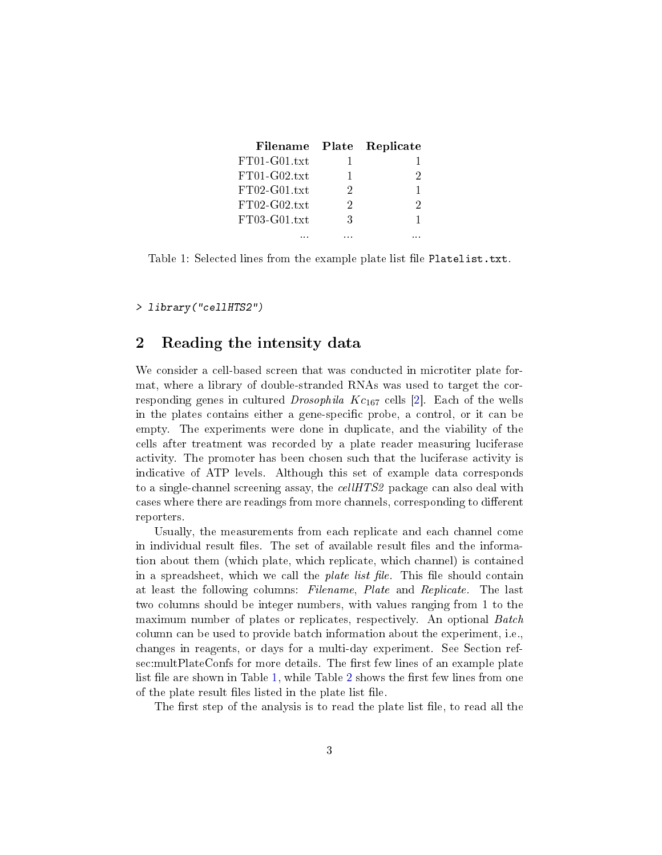<span id="page-2-2"></span>

| Filename       |   | Plate Replicate |
|----------------|---|-----------------|
| $FT01-G01.txt$ |   |                 |
| $FT01-G02.txt$ | 1 | 2               |
| $FT02-G01.txt$ | 2 |                 |
| $FT02-G02.txt$ | 2 | 2               |
| $FT03-G01.txt$ | З | 1               |
|                |   |                 |

<span id="page-2-1"></span>Table 1: Selected lines from the example plate list file Platelist.txt.

> library("cellHTS2")

# <span id="page-2-0"></span>2 Reading the intensity data

We consider a cell-based screen that was conducted in microtiter plate format, where a library of double-stranded RNAs was used to target the corresponding genes in cultured *Drosophila Kc*<sub>167</sub> cells [\[2\]](#page-43-1). Each of the wells in the plates contains either a gene-specific probe, a control, or it can be empty. The experiments were done in duplicate, and the viability of the cells after treatment was recorded by a plate reader measuring luciferase activity. The promoter has been chosen such that the luciferase activity is indicative of ATP levels. Although this set of example data corresponds to a single-channel screening assay, the *cellHTS2* package can also deal with cases where there are readings from more channels, corresponding to different reporters.

Usually, the measurements from each replicate and each channel come in individual result files. The set of available result files and the information about them (which plate, which replicate, which channel) is contained in a spreadsheet, which we call the *plate list file*. This file should contain at least the following columns: Filename, Plate and Replicate. The last two columns should be integer numbers, with values ranging from 1 to the maximum number of plates or replicates, respectively. An optional Batch column can be used to provide batch information about the experiment, i.e. changes in reagents, or days for a multi-day experiment. See Section refsec:multPlateConfs for more details. The first few lines of an example plate list file are shown in Table [1,](#page-2-1) while Table [2](#page-3-0) shows the first few lines from one of the plate result files listed in the plate list file.

The first step of the analysis is to read the plate list file, to read all the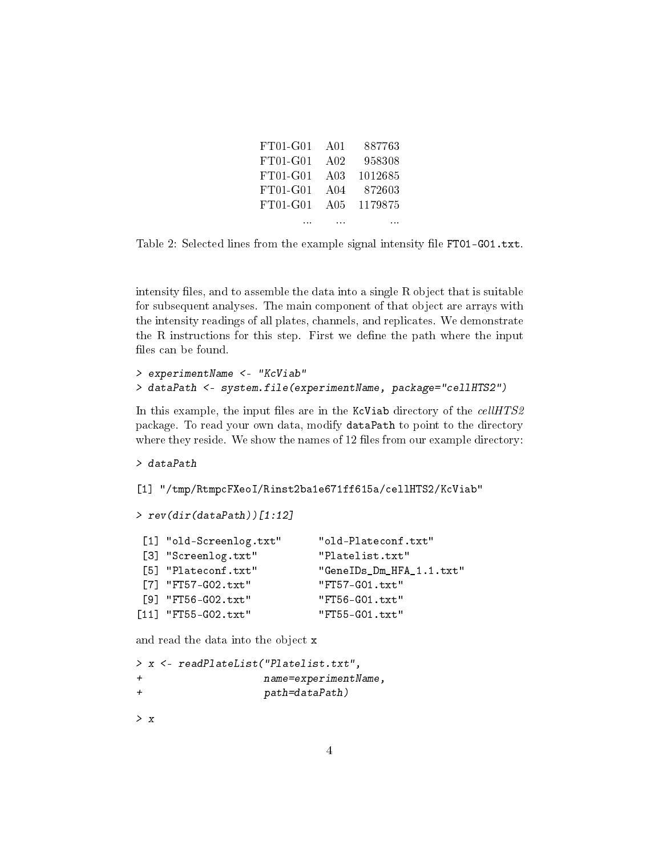| $FT01-G01$        | A01                           | 887763  |
|-------------------|-------------------------------|---------|
| $FT01-G01$        | A02                           | 958308  |
| FT01-G01          | A <sub>03</sub>               | 1012685 |
| $FT01-G01$        | A <sub>04</sub>               | 872603  |
| FT01-G01          | A05                           | 1179875 |
| <b>CONTRACTOR</b> | $\mathbf{r}$ and $\mathbf{r}$ |         |

<span id="page-3-0"></span>Table 2: Selected lines from the example signal intensity file FT01-G01.txt.

intensity files, and to assemble the data into a single  $R$  object that is suitable for subsequent analyses. The main component of that object are arrays with the intensity readings of all plates, channels, and replicates. We demonstrate the R instructions for this step. First we define the path where the input files can be found.

```
> experimentName <- "KcViab"
> dataPath <- system.file(experimentName, package="cellHTS2")
```
In this example, the input files are in the KcViab directory of the  $cellHTS2$ package. To read your own data, modify dataPath to point to the directory where they reside. We show the names of 12 files from our example directory:

```
> dataPath
```
[1] "/tmp/RtmpcFXeoI/Rinst2ba1e671ff615a/cellHTS2/KcViab"

```
> rev(dir(dataPath))[1:12]
```

| [1] "old-Screenlog.txt" | "old-Plateconf.txt"      |
|-------------------------|--------------------------|
| [3] "Screenlog.txt"     | "Platelist.txt"          |
| [5] "Plateconf.txt"     | "GeneIDs_Dm_HFA_1.1.txt" |
| $[7]$ "FT57-G02.txt"    | "FT57-G01. $txt"$        |
| $[9]$ "FT56-G02.txt"    | "FT56-G01.txt"           |
| $[11]$ "FT55-G02.txt"   | $"FT55-G01.txt"$         |
|                         |                          |

and read the data into the object x

```
> x <- readPlateList("Platelist.txt",
+ name=experimentName,
+ path=dataPath)
```
> x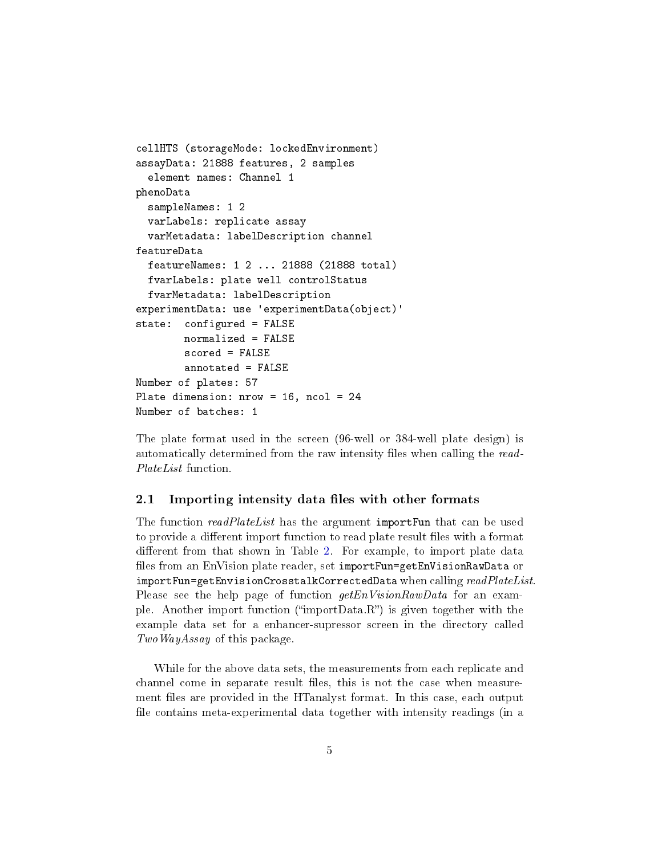```
cellHTS (storageMode: lockedEnvironment)
assayData: 21888 features, 2 samples
  element names: Channel 1
phenoData
  sampleNames: 1 2
  varLabels: replicate assay
  varMetadata: labelDescription channel
featureData
  featureNames: 1 2 ... 21888 (21888 total)
  fvarLabels: plate well controlStatus
  fvarMetadata: labelDescription
experimentData: use 'experimentData(object)'
state: configured = FALSE
        normalized = FALSE
        scored = FALSE
        annotated = FALSE
Number of plates: 57
Plate dimension: nrow = 16, ncol = 24
Number of batches: 1
```
The plate format used in the screen (96-well or 384-well plate design) is automatically determined from the raw intensity files when calling the read-PlateList function.

#### <span id="page-4-0"></span>2.1 Importing intensity data files with other formats

The function readPlateList has the argument importFun that can be used to provide a different import function to read plate result files with a format different from that shown in Table [2.](#page-3-0) For example, to import plate data files from an EnVision plate reader, set importFun=getEnVisionRawData or  $importFun=getEnvisionCrosstalkCorrectedData when calling read PlateList.$ Please see the help page of function  $\eta e tEnVision RawData$  for an example. Another import function ("importData.R") is given together with the example data set for a enhancer-supressor screen in the directory called Two WayAssay of this package.

While for the above data sets, the measurements from each replicate and channel come in separate result files, this is not the case when measurement files are provided in the HTanalyst format. In this case, each output file contains meta-experimental data together with intensity readings (in a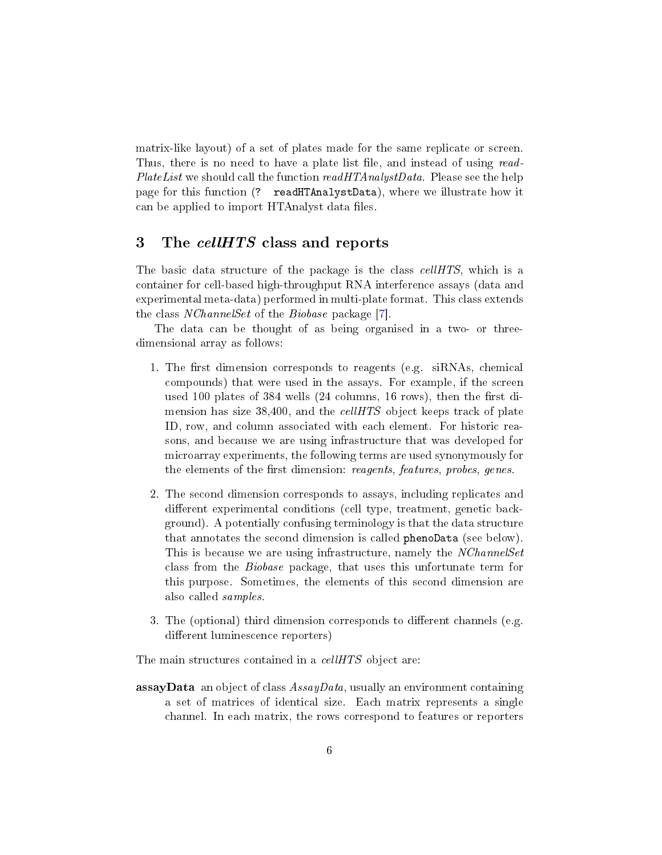<span id="page-5-1"></span>matrix-like layout) of a set of plates made for the same replicate or screen. Thus, there is no need to have a plate list file, and instead of using read-PlateList we should call the function  $readHTAnalystData$ . Please see the help page for this function (? readHTAnalystData), where we illustrate how it can be applied to import HTAnalyst data files.

# <span id="page-5-0"></span>3 The *cellHTS* class and reports

The basic data structure of the package is the class *cellHTS*, which is a container for cell-based high-throughput RNA interference assays (data and experimental meta-data) performed in multi-plate format. This class extends the class NChannelSet of the Biobase package [\[7\]](#page-44-1).

The data can be thought of as being organised in a two- or threedimensional array as follows:

- 1. The first dimension corresponds to reagents (e.g. siRNAs, chemical compounds) that were used in the assays. For example, if the screen used 100 plates of  $384$  wells  $(24 \text{ columns}, 16 \text{ rows})$ , then the first dimension has size 38,400, and the *cellHTS* object keeps track of plate ID, row, and column associated with each element. For historic reasons, and because we are using infrastructure that was developed for microarray experiments, the following terms are used synonymously for the elements of the first dimension: *reagents*, *features*, *probes*, *genes*.
- 2. The second dimension corresponds to assays, including replicates and different experimental conditions (cell type, treatment, genetic background). A potentially confusing terminology is that the data structure that annotates the second dimension is called phenoData (see below). This is because we are using infrastructure, namely the NChannelSet class from the Biobase package, that uses this unfortunate term for this purpose. Sometimes, the elements of this second dimension are also called samples.
- 3. The (optional) third dimension corresponds to different channels (e.g. different luminescence reporters)

The main structures contained in a *cellHTS* object are:

assayData an object of class  $AssayData$ , usually an environment containing a set of matrices of identical size. Each matrix represents a single channel. In each matrix, the rows correspond to features or reporters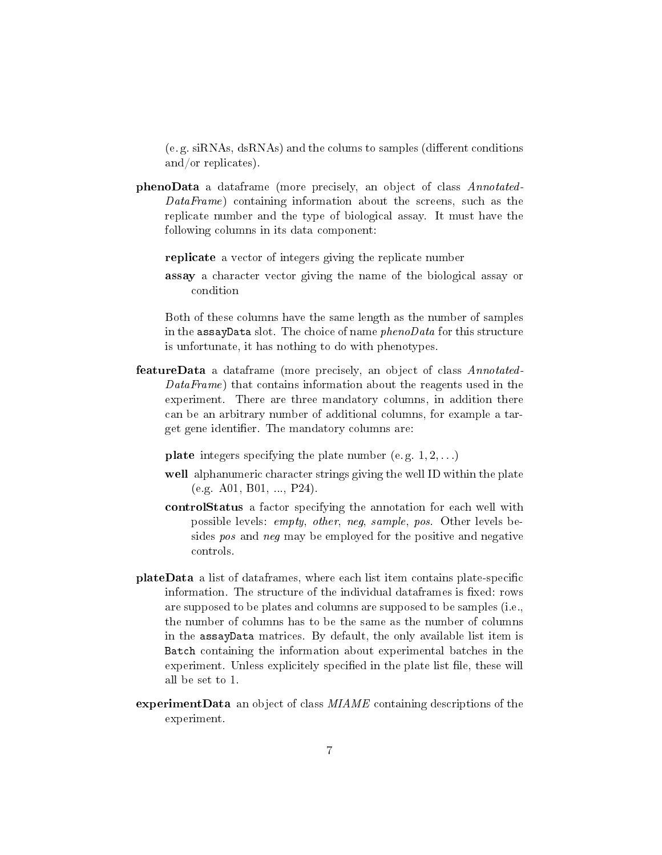$(e, g.$  siRNAs, dsRNAs) and the colums to samples (different conditions and/or replicates).

- phenoData a dataframe (more precisely, an object of class Annotated-DataFrame) containing information about the screens, such as the replicate number and the type of biological assay. It must have the following columns in its data component:
	- replicate a vector of integers giving the replicate number
	- assay a character vector giving the name of the biological assay or condition

Both of these columns have the same length as the number of samples in the assayData slot. The choice of name  $phenoData$  for this structure is unfortunate, it has nothing to do with phenotypes.

- featureData a dataframe (more precisely, an object of class *Annotated*-DataFrame) that contains information about the reagents used in the experiment. There are three mandatory columns, in addition there can be an arbitrary number of additional columns, for example a target gene identifier. The mandatory columns are:
	- **plate** integers specifying the plate number (e.g.  $1, 2, \ldots$ )
	- well alphanumeric character strings giving the well ID within the plate (e.g. A01, B01, ..., P24).
	- controlStatus a factor specifying the annotation for each well with possible levels: empty, other, neg, sample, pos. Other levels besides pos and neg may be employed for the positive and negative controls.
- $plateData$  a list of dataframes, where each list item contains plate-specific information. The structure of the individual dataframes is fixed: rows are supposed to be plates and columns are supposed to be samples (i.e., the number of columns has to be the same as the number of columns in the assayData matrices. By default, the only available list item is Batch containing the information about experimental batches in the experiment. Unless explicitely specified in the plate list file, these will all be set to 1.
- experiment Data an object of class  $MIAME$  containing descriptions of the experiment.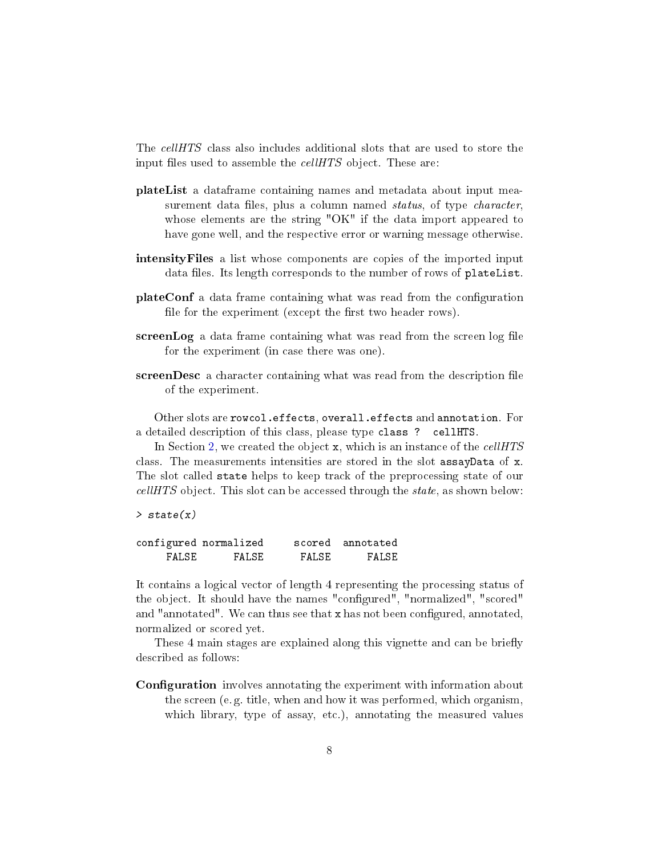The cellHTS class also includes additional slots that are used to store the input files used to assemble the  $cellHTS$  object. These are:

- plateList a dataframe containing names and metadata about input measurement data files, plus a column named *status*, of type *character*, whose elements are the string "OK" if the data import appeared to have gone well, and the respective error or warning message otherwise.
- **intensityFiles** a list whose components are copies of the imported input data files. Its length corresponds to the number of rows of plateList.
- plateConf a data frame containing what was read from the configuration file for the experiment (except the first two header rows).
- screenLog a data frame containing what was read from the screen log file for the experiment (in case there was one).
- screenDesc a character containing what was read from the description file of the experiment.

Other slots are rowcol.effects, overall.effects and annotation. For a detailed description of this class, please type class ? cellHTS.

In Section [2,](#page-2-0) we created the object x, which is an instance of the cellHTS class. The measurements intensities are stored in the slot assayData of x. The slot called state helps to keep track of the preprocessing state of our cellHTS object. This slot can be accessed through the state, as shown below:

#### > state(x)

|        | configured normalized |       | scored annotated |
|--------|-----------------------|-------|------------------|
| FALSE. | FALSE                 | FALSE | FALSE.           |

It contains a logical vector of length 4 representing the processing status of the object. It should have the names "configured", "normalized", "scored" and "annotated". We can thus see that  $x$  has not been configured, annotated, normalized or scored yet.

These 4 main stages are explained along this vignette and can be briefly described as follows:

**Configuration** involves annotating the experiment with information about the screen (e. g. title, when and how it was performed, which organism, which library, type of assay, etc.), annotating the measured values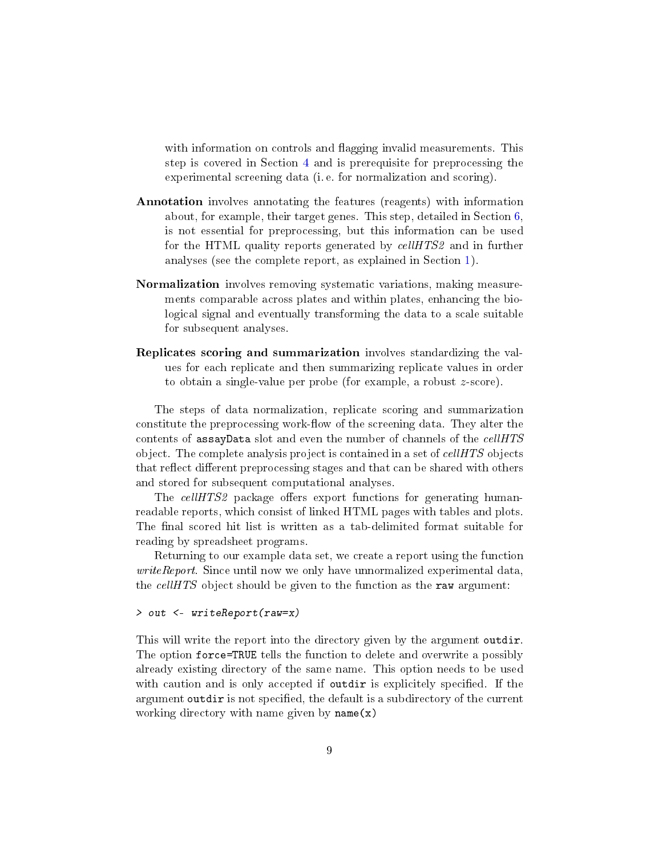with information on controls and flagging invalid measurements. This step is covered in Section [4](#page-9-0) and is prerequisite for preprocessing the experimental screening data (i. e. for normalization and scoring).

- Annotation involves annotating the features (reagents) with information about, for example, their target genes. This step, detailed in Section [6,](#page-19-0) is not essential for preprocessing, but this information can be used for the HTML quality reports generated by cellHTS2 and in further analyses (see the complete report, as explained in Section [1\)](#page-1-0).
- Normalization involves removing systematic variations, making measurements comparable across plates and within plates, enhancing the biological signal and eventually transforming the data to a scale suitable for subsequent analyses.
- Replicates scoring and summarization involves standardizing the values for each replicate and then summarizing replicate values in order to obtain a single-value per probe (for example, a robust z-score).

The steps of data normalization, replicate scoring and summarization constitute the preprocessing work-flow of the screening data. They alter the contents of assayData slot and even the number of channels of the cellHTS object. The complete analysis project is contained in a set of  $cellHTS$  objects that reflect different preprocessing stages and that can be shared with others and stored for subsequent computational analyses.

The cellHTS2 package offers export functions for generating humanreadable reports, which consist of linked HTML pages with tables and plots. The final scored hit list is written as a tab-delimited format suitable for reading by spreadsheet programs.

Returning to our example data set, we create a report using the function write Report. Since until now we only have unnormalized experimental data, the *cellHTS* object should be given to the function as the raw argument:

#### > out <- writeReport(raw=x)

This will write the report into the directory given by the argument outdir. The option force=TRUE tells the function to delete and overwrite a possibly already existing directory of the same name. This option needs to be used with caution and is only accepted if outdir is explicitely specified. If the argument outdir is not specified, the default is a subdirectory of the current working directory with name given by  $name(x)$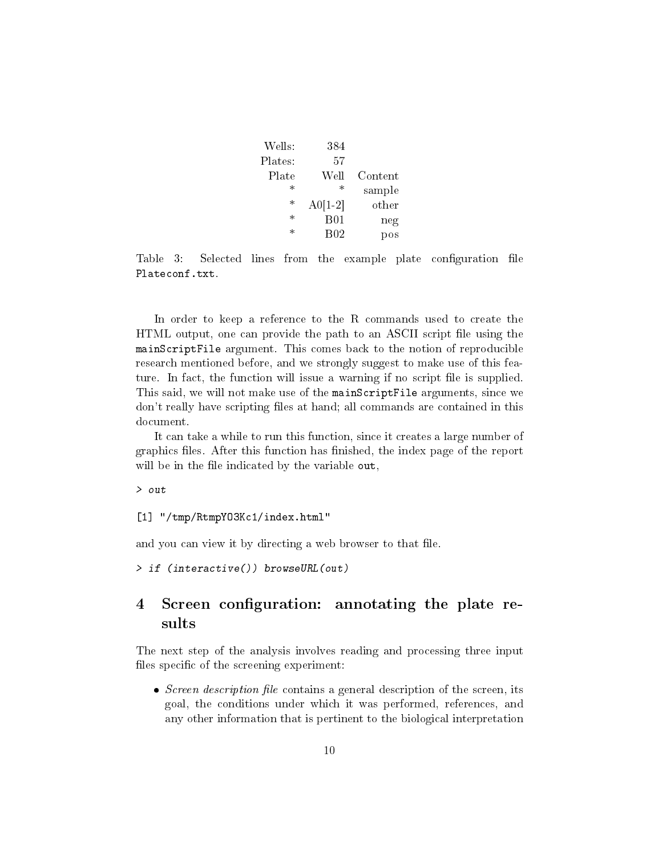|                   | 384             | Wells:  |
|-------------------|-----------------|---------|
|                   | 57              | Plates: |
| Content           | Well            | Plate   |
| sample            | $^\ast$         | $\ast$  |
| other             | $A0[1-2]$       | $\ast$  |
| neg               | B01             | $\ast$  |
| $_{\mathrm{DOS}}$ | B <sub>02</sub> | $\ast$  |
|                   |                 |         |

<span id="page-9-1"></span>Table 3: Selected lines from the example plate configuration file Plateconf.txt.

In order to keep a reference to the R commands used to create the HTML output, one can provide the path to an ASCII script file using the mainScriptFile argument. This comes back to the notion of reproducible research mentioned before, and we strongly suggest to make use of this feature. In fact, the function will issue a warning if no script file is supplied. This said, we will not make use of the mainScriptFile arguments, since we don't really have scripting files at hand; all commands are contained in this document.

It can take a while to run this function, since it creates a large number of graphics files. After this function has finished, the index page of the report will be in the file indicated by the variable out,

> out

[1] "/tmp/RtmpY03Kc1/index.html"

and you can view it by directing a web browser to that file.

> if (interactive()) browseURL(out)

# <span id="page-9-0"></span>4 Screen configuration: annotating the plate results

The next step of the analysis involves reading and processing three input files specific of the screening experiment:

• Screen description file contains a general description of the screen, its goal, the conditions under which it was performed, references, and any other information that is pertinent to the biological interpretation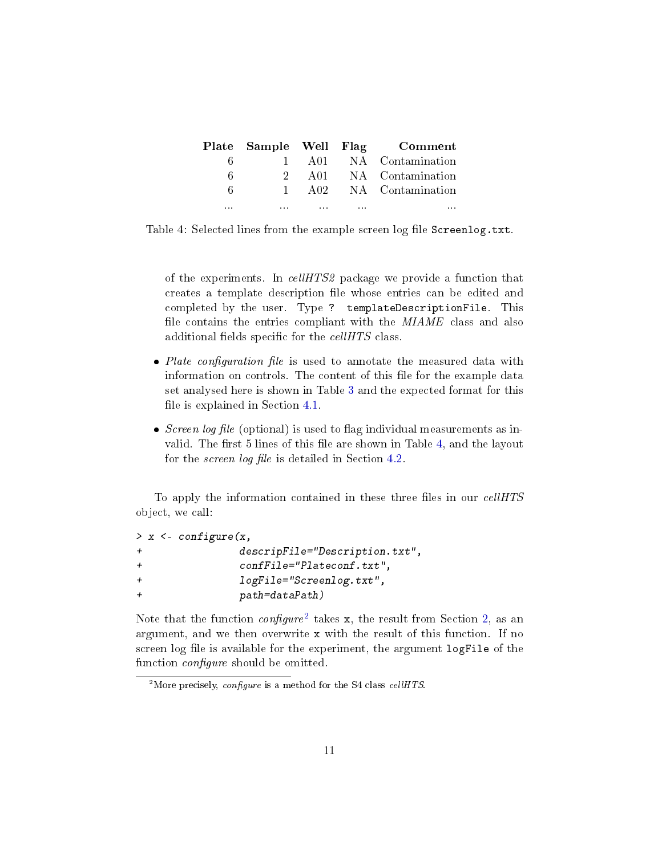| Plate Sample Well Flag Comment |          |                                 |              |          |
|--------------------------------|----------|---------------------------------|--------------|----------|
| A01 NA Contamination           |          |                                 | $\mathbf{1}$ | 6        |
| NA Contamination               |          | - A 0 1 -                       |              | 6        |
| NA Contamination               |          | A02                             |              | 6        |
|                                | $\cdots$ | <b><i>Contract Contract</i></b> | $\cdots$     | $\cdots$ |

<span id="page-10-0"></span>Table 4: Selected lines from the example screen log file Screenlog.txt.

of the experiments. In cellHTS2 package we provide a function that creates a template description file whose entries can be edited and completed by the user. Type ? templateDescriptionFile. This file contains the entries compliant with the MIAME class and also additional fields specific for the  $cellHTS$  class.

- Plate configuration file is used to annotate the measured data with information on controls. The content of this file for the example data set analysed here is shown in Table [3](#page-9-1) and the expected format for this file is explained in Section  $4.1$ .
- Screen log file (optional) is used to flag individual measurements as invalid. The first  $5$  lines of this file are shown in Table  $4$ , and the layout for the *screen log file* is detailed in Section  $4.2$ .

To apply the information contained in these three files in our *cellHTS* object, we call:

|                |  | $> x < -$ configure(x,                       |
|----------------|--|----------------------------------------------|
| $^{+}$         |  | $descript{!}$ descripFile="Description.txt", |
| $^{+}$         |  | confFile="Plateconf.txt",                    |
| $\overline{+}$ |  | $logFile="ScreenLog.txt",$                   |
| $+$            |  | path=dataPath)                               |
|                |  |                                              |

Note that the function  $\mathit{confidence}^2$  $\mathit{confidence}^2$  takes x, the result from Section [2,](#page-2-0) as an argument, and we then overwrite x with the result of this function. If no screen log file is available for the experiment, the argument logFile of the function *configure* should be omitted.

<span id="page-10-1"></span><sup>&</sup>lt;sup>2</sup>More precisely, *configure* is a method for the S4 class *cellHTS*.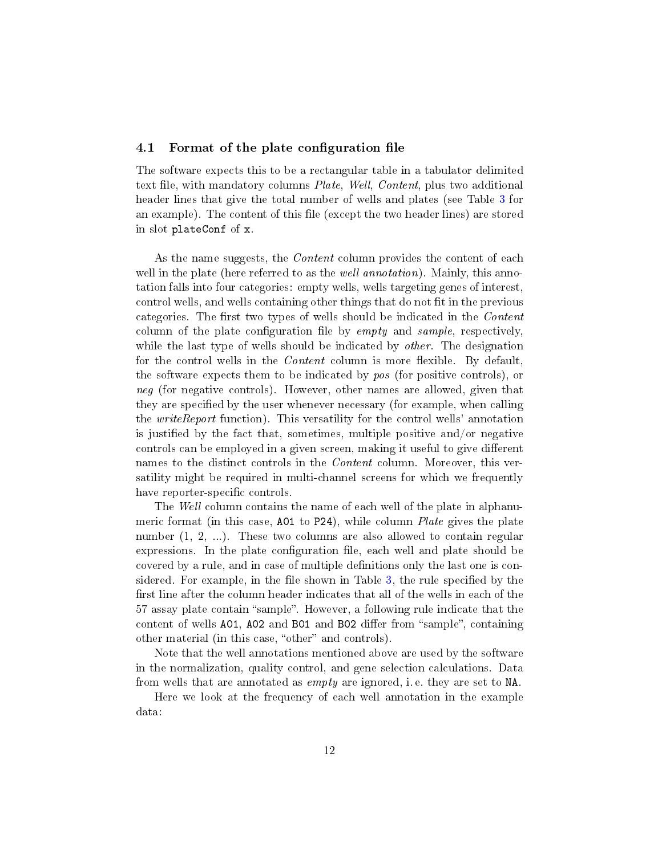#### <span id="page-11-0"></span>4.1 Format of the plate configuration file

The software expects this to be a rectangular table in a tabulator delimited text file, with mandatory columns *Plate, Well, Content*, plus two additional header lines that give the total number of wells and plates (see Table [3](#page-9-1) for an example). The content of this file (except the two header lines) are stored in slot plateConf of x.

As the name suggests, the *Content* column provides the content of each well in the plate (here referred to as the *well annotation*). Mainly, this annotation falls into four categories: empty wells, wells targeting genes of interest, control wells, and wells containing other things that do not fit in the previous categories. The first two types of wells should be indicated in the Content column of the plate configuration file by empty and sample, respectively, while the last type of wells should be indicated by *other*. The designation for the control wells in the *Content* column is more flexible. By default, the software expects them to be indicated by pos (for positive controls), or neg (for negative controls). However, other names are allowed, given that they are specified by the user whenever necessary (for example, when calling the *writeReport* function). This versatility for the control wells' annotation is justified by the fact that, sometimes, multiple positive and/or negative controls can be employed in a given screen, making it useful to give different names to the distinct controls in the *Content* column. Moreover, this versatility might be required in multi-channel screens for which we frequently have reporter-specific controls.

The Well column contains the name of each well of the plate in alphanumeric format (in this case, A01 to P24), while column *Plate* gives the plate number  $(1, 2, ...)$ . These two columns are also allowed to contain regular expressions. In the plate configuration file, each well and plate should be covered by a rule, and in case of multiple definitions only the last one is con-sidered. For example, in the file shown in Table [3,](#page-9-1) the rule specified by the first line after the column header indicates that all of the wells in each of the 57 assay plate contain "sample". However, a following rule indicate that the content of wells A01, A02 and B01 and B02 differ from "sample", containing other material (in this case, "other" and controls).

Note that the well annotations mentioned above are used by the software in the normalization, quality control, and gene selection calculations. Data from wells that are annotated as empty are ignored, i. e. they are set to NA.

Here we look at the frequency of each well annotation in the example data: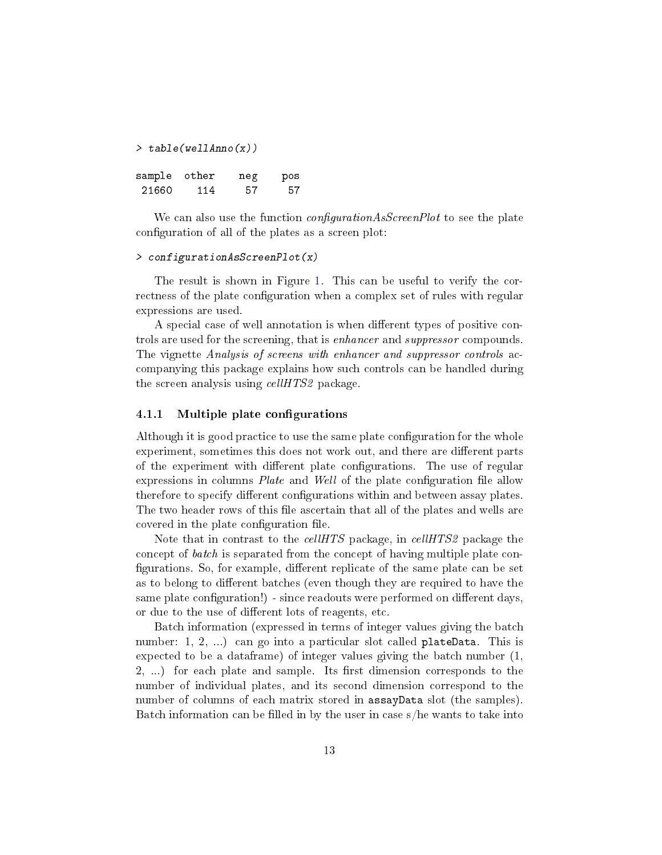```
> table(wellAnno(x))
sample other neg pos
21660 114 57 57
```
We can also use the function *configurationAsScreenPlot* to see the plate configuration of all of the plates as a screen plot:

#### > configurationAsScreenPlot(x)

The result is shown in Figure [1.](#page-13-0) This can be useful to verify the correctness of the plate configuration when a complex set of rules with regular expressions are used.

A special case of well annotation is when different types of positive controls are used for the screening, that is enhancer and suppressor compounds. The vignette Analysis of screens with enhancer and suppressor controls accompanying this package explains how such controls can be handled during the screen analysis using *cellHTS2* package.

#### <span id="page-12-0"></span>4.1.1 Multiple plate configurations

Although it is good practice to use the same plate configuration for the whole experiment, sometimes this does not work out, and there are different parts of the experiment with different plate configurations. The use of regular expressions in columns  $Place$  and Well of the plate configuration file allow therefore to specify different configurations within and between assay plates. The two header rows of this file ascertain that all of the plates and wells are covered in the plate configuration file.

Note that in contrast to the *cellHTS* package, in *cellHTS2* package the concept of batch is separated from the concept of having multiple plate con figurations. So, for example, different replicate of the same plate can be set as to belong to different batches (even though they are required to have the same plate configuration!) - since readouts were performed on different days, or due to the use of different lots of reagents, etc.

Batch information (expressed in terms of integer values giving the batch number: 1, 2, ...) can go into a particular slot called plateData. This is expected to be a dataframe) of integer values giving the batch number (1, 2, ...) for each plate and sample. Its first dimension corresponds to the number of individual plates, and its second dimension correspond to the number of columns of each matrix stored in assayData slot (the samples). Batch information can be filled in by the user in case  $s/h$ e wants to take into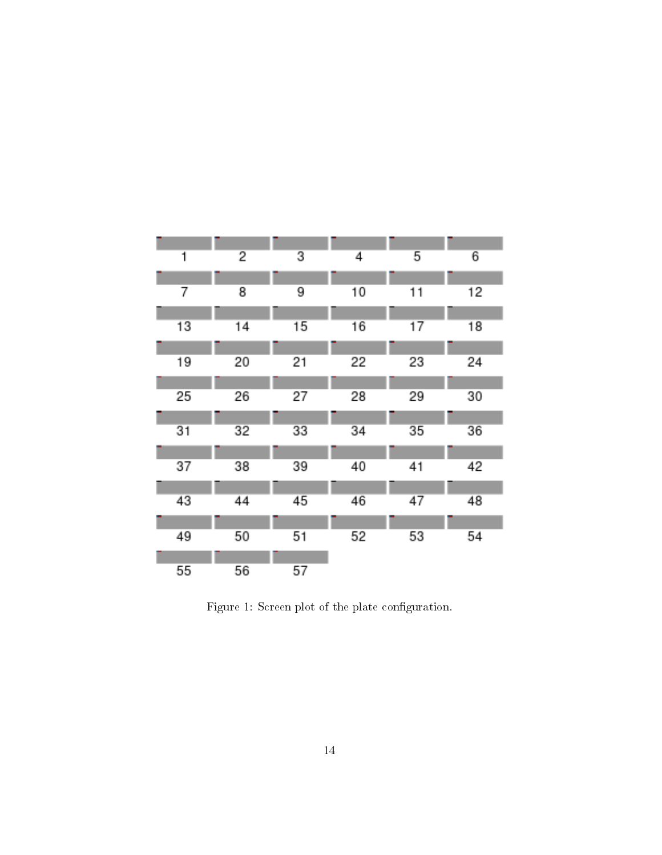| 1  | 2  | 3  | 4  | 5  | 6  |
|----|----|----|----|----|----|
|    |    |    |    |    |    |
| 7  | 8  | 9  | 10 | 11 | 12 |
|    |    |    |    |    |    |
| 13 | 14 | 15 | 16 | 17 | 18 |
|    |    |    |    |    |    |
| 19 | 20 | 21 | 22 | 23 | 24 |
|    |    |    |    |    |    |
| 25 | 26 | 27 | 28 | 29 | 30 |
|    |    |    |    |    |    |
| 31 | 32 | 33 | 34 | 35 | 36 |
|    |    |    |    |    |    |
| 37 | 38 | 39 | 40 | 41 | 42 |
|    |    |    |    |    |    |
| 43 | 44 | 45 | 46 | 47 | 48 |
|    |    |    |    |    |    |
|    |    |    |    |    |    |
| 49 | 50 | 51 | 52 | 53 | 54 |
|    |    |    |    |    |    |
| 55 | 56 | 57 |    |    |    |

<span id="page-13-0"></span>Figure 1: Screen plot of the plate configuration.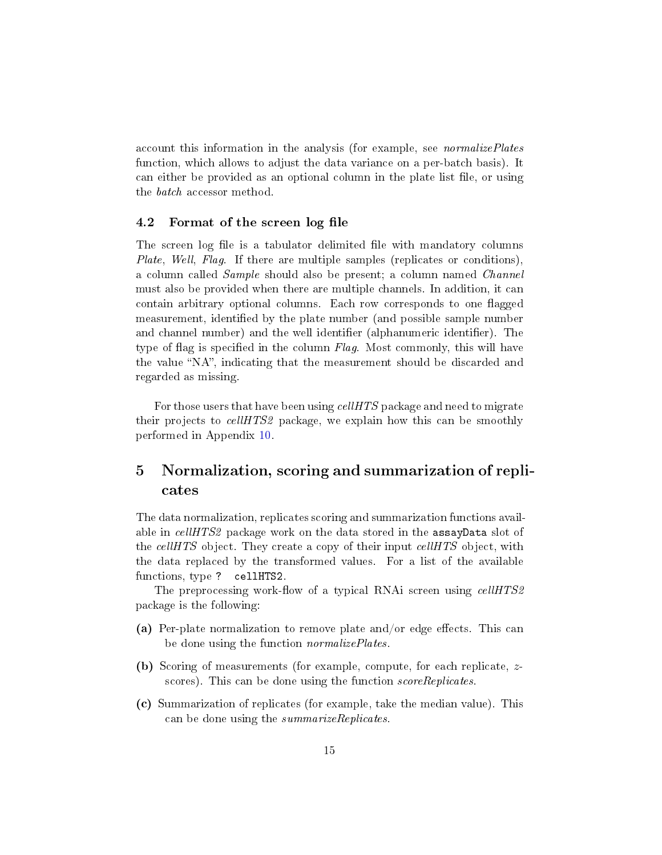account this information in the analysis (for example, see *normalizePlates* function, which allows to adjust the data variance on a per-batch basis). It can either be provided as an optional column in the plate list file, or using the batch accessor method.

#### <span id="page-14-0"></span>4.2 Format of the screen log file

The screen log file is a tabulator delimited file with mandatory columns Plate, Well, Flag. If there are multiple samples (replicates or conditions). a column called *Sample* should also be present; a column named *Channel* must also be provided when there are multiple channels. In addition, it can contain arbitrary optional columns. Each row corresponds to one flagged measurement, identified by the plate number (and possible sample number and channel number) and the well identifier (alphanumeric identifier). The type of flag is specified in the column  $Flag$ . Most commonly, this will have the value "NA", indicating that the measurement should be discarded and regarded as missing.

For those users that have been using *cellHTS* package and need to migrate their projects to *cellHTS2* package, we explain how this can be smoothly performed in Appendix [10.](#page-33-0)

# <span id="page-14-1"></span>5 Normalization, scoring and summarization of replicates

The data normalization, replicates scoring and summarization functions available in *cellHTS2* package work on the data stored in the **assayData** slot of the cellHTS object. They create a copy of their input cellHTS object, with the data replaced by the transformed values. For a list of the available functions, type ? cellHTS2.

The preprocessing work-flow of a typical RNAi screen using *cellHTS2* package is the following:

- (a) Per-plate normalization to remove plate and/or edge effects. This can be done using the function *normalizePlates*
- (b) Scoring of measurements (for example, compute, for each replicate, zscores). This can be done using the function scoreReplicates.
- (c) Summarization of replicates (for example, take the median value). This can be done using the *summarizeReplicates*.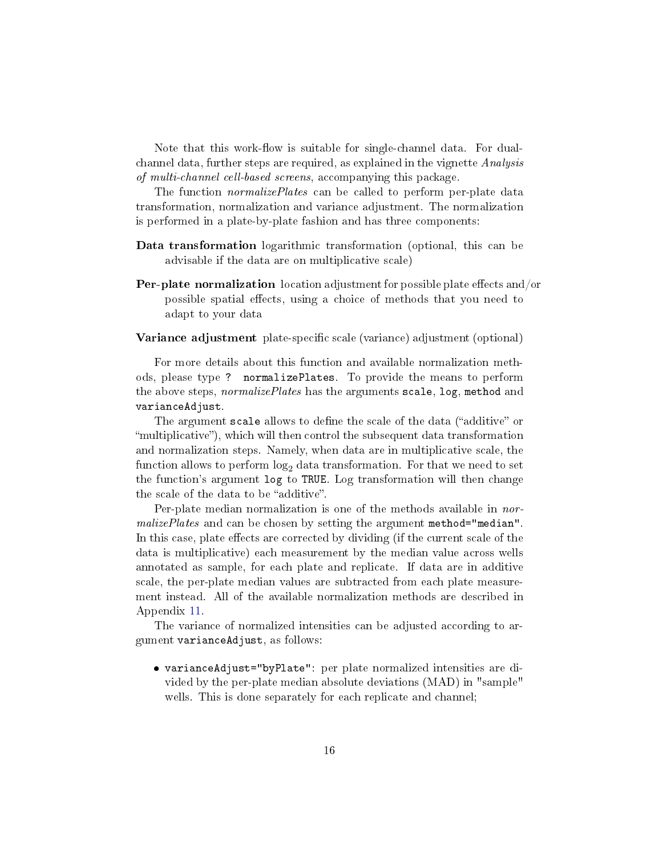Note that this work-flow is suitable for single-channel data. For dualchannel data, further steps are required, as explained in the vignette *Analysis* of multi-channel cell-based screens, accompanying this package.

The function *normalizePlates* can be called to perform per-plate data transformation, normalization and variance adjustment. The normalization is performed in a plate-by-plate fashion and has three components:

- Data transformation logarithmic transformation (optional, this can be advisable if the data are on multiplicative scale)
- **Per-plate normalization** location adjustment for possible plate effects and/or possible spatial effects, using a choice of methods that you need to adapt to your data

#### Variance adjustment plate-specific scale (variance) adjustment (optional)

For more details about this function and available normalization methods, please type ? normalizePlates. To provide the means to perform the above steps, *normalizePlates* has the arguments scale, log, method and varianceAdjust.

The argument scale allows to define the scale of the data ("additive" or multiplicative), which will then control the subsequent data transformation and normalization steps. Namely, when data are in multiplicative scale, the function allows to perform  $log_2$  data transformation. For that we need to set the function's argument log to TRUE. Log transformation will then change the scale of the data to be "additive".

Per-plate median normalization is one of the methods available in normalizePlates and can be chosen by setting the argument method="median". In this case, plate effects are corrected by dividing (if the current scale of the data is multiplicative) each measurement by the median value across wells annotated as sample, for each plate and replicate. If data are in additive scale, the per-plate median values are subtracted from each plate measurement instead. All of the available normalization methods are described in Appendix [11.](#page-38-0)

The variance of normalized intensities can be adjusted according to argument varianceAdjust, as follows:

 varianceAdjust="byPlate": per plate normalized intensities are divided by the per-plate median absolute deviations (MAD) in "sample" wells. This is done separately for each replicate and channel;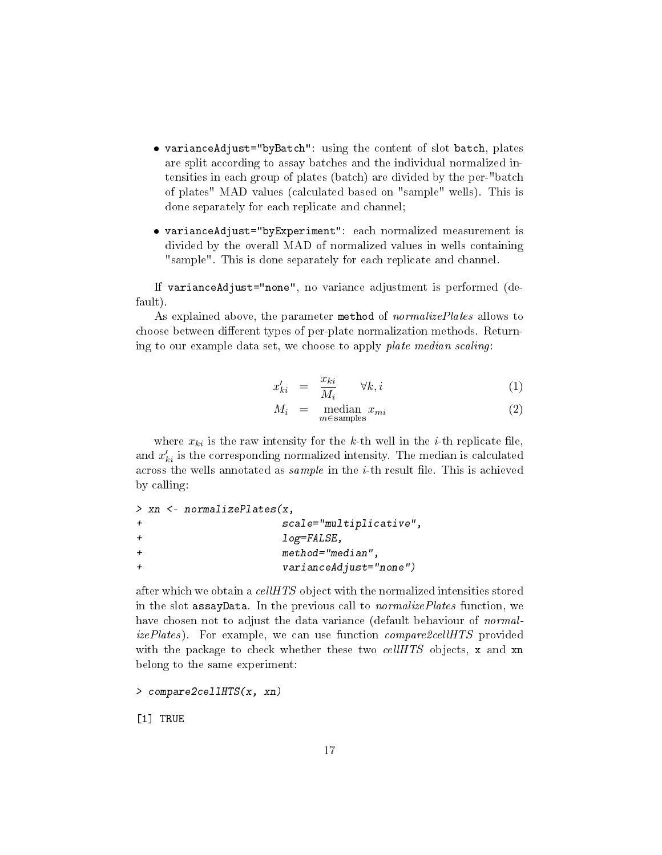- varianceAdjust="byBatch": using the content of slot batch, plates are split according to assay batches and the individual normalized intensities in each group of plates (batch) are divided by the per-"batch of plates" MAD values (calculated based on "sample" wells). This is done separately for each replicate and channel;
- varianceAdjust="byExperiment": each normalized measurement is divided by the overall MAD of normalized values in wells containing "sample". This is done separately for each replicate and channel.

If varianceAdjust="none", no variance adjustment is performed (default).

As explained above, the parameter method of *normalizePlates* allows to choose between different types of per-plate normalization methods. Returning to our example data set, we choose to apply plate median scaling:

<span id="page-16-0"></span>
$$
x'_{ki} = \frac{x_{ki}}{M_i} \qquad \forall k, i \tag{1}
$$

$$
M_i = \underset{m \in \text{samples}}{\text{median}} x_{mi} \tag{2}
$$

where  $x_{ki}$  is the raw intensity for the k-th well in the *i*-th replicate file, and  $x^{\prime}_{ki}$  is the corresponding normalized intensity. The median is calculated across the wells annotated as *sample* in the *i*-th result file. This is achieved by calling:

|  | $> xn < - normalizePlates(x,$ |                         |
|--|-------------------------------|-------------------------|
|  |                               | scale="multiplicative", |
|  |                               | log=FALSE,              |
|  |                               | method="median",        |
|  |                               | varianceAdjust="none")  |

after which we obtain a  $cellHTS$  object with the normalized intensities stored in the slot assayData. In the previous call to *normalizePlates* function, we have chosen not to adjust the data variance (default behaviour of *normal*izePlates). For example, we can use function compare2cellHTS provided with the package to check whether these two cell HTS objects, x and xn belong to the same experiment:

```
> compare2cellHTS(x, xn)
```
[1] TRUE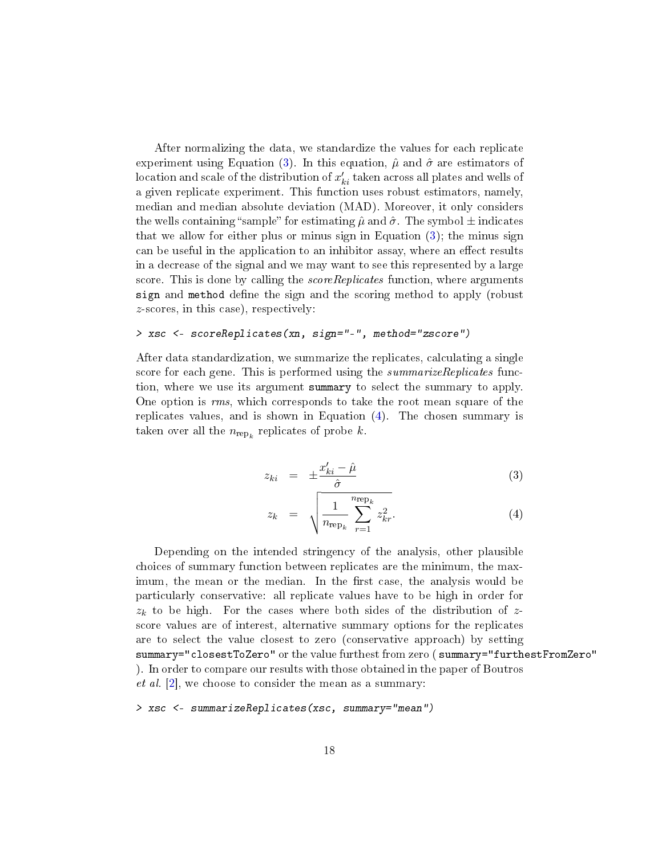<span id="page-17-1"></span>After normalizing the data, we standardize the values for each replicate experiment using Equation [\(3\)](#page-17-0). In this equation,  $\hat{\mu}$  and  $\hat{\sigma}$  are estimators of location and scale of the distribution of  $x^{\prime}_{ki}$  taken across all plates and wells of a given replicate experiment. This function uses robust estimators, namely, median and median absolute deviation (MAD). Moreover, it only considers the wells containing "sample" for estimating  $\hat{\mu}$  and  $\hat{\sigma}$ . The symbol  $\pm$  indicates that we allow for either plus or minus sign in Equation [\(3\)](#page-17-0); the minus sign can be useful in the application to an inhibitor assay, where an effect results in a decrease of the signal and we may want to see this represented by a large score. This is done by calling the *scoreReplicates* function, where arguments sign and method define the sign and the scoring method to apply (robust z-scores, in this case), respectively:

#### > xsc <- scoreReplicates(xn, sign="-", method="zscore")

After data standardization, we summarize the replicates, calculating a single score for each gene. This is performed using the *summarizeReplicates* function, where we use its argument summary to select the summary to apply. One option is rms, which corresponds to take the root mean square of the replicates values, and is shown in Equation [\(4\)](#page-17-0). The chosen summary is taken over all the  $n_{\mathrm{rep}_k}$  replicates of probe  $k$ .

<span id="page-17-0"></span>
$$
z_{ki} = \pm \frac{x'_{ki} - \hat{\mu}}{\hat{\sigma}} \tag{3}
$$

$$
z_k = \sqrt{\frac{1}{n_{\rm rep_k}} \sum_{r=1}^{n_{\rm rep_k}} z_{kr}^2}.
$$
 (4)

Depending on the intended stringency of the analysis, other plausible choices of summary function between replicates are the minimum, the maximum, the mean or the median. In the first case, the analysis would be particularly conservative: all replicate values have to be high in order for  $z_k$  to be high. For the cases where both sides of the distribution of zscore values are of interest, alternative summary options for the replicates are to select the value closest to zero (conservative approach) by setting summary="closestToZero" or the value furthest from zero ( summary="furthestFromZero" ). In order to compare our results with those obtained in the paper of Boutros *et al.* [\[2\]](#page-43-1), we choose to consider the mean as a summary:

```
> xsc <- summarizeReplicates(xsc, summary="mean")
```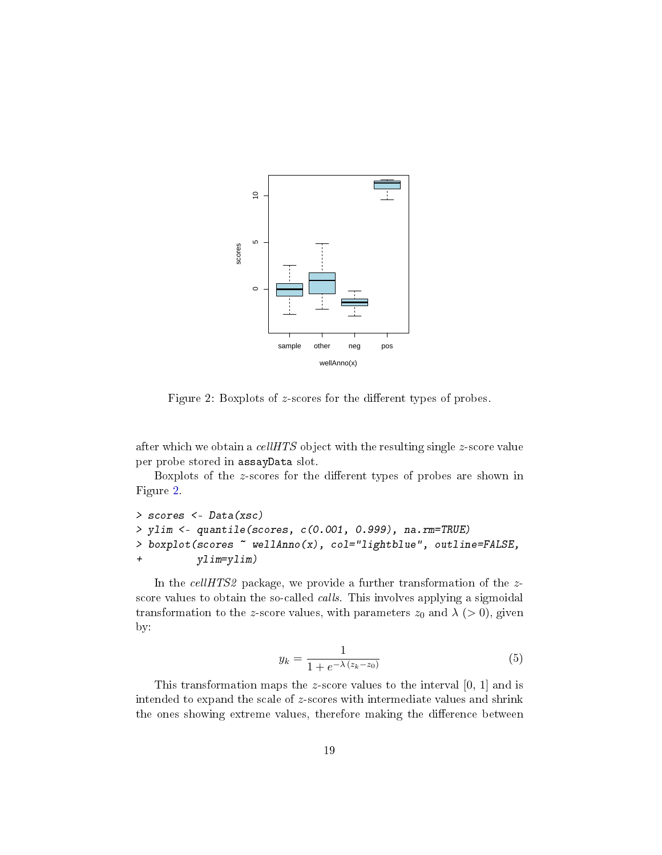

<span id="page-18-0"></span>Figure 2: Boxplots of  $z$ -scores for the different types of probes.

after which we obtain a cellHTS object with the resulting single z-score value per probe stored in assayData slot.

Boxplots of the z-scores for the different types of probes are shown in Figure [2.](#page-18-0)

```
> scores <- Data(xsc)
> ylim <- quantile(scores, c(0.001, 0.999), na.rm=TRUE)
> boxplot(scores ~ wellAnno(x), col="lightblue", outline=FALSE,
+ ylim=ylim)
```
In the *cellHTS2* package, we provide a further transformation of the zscore values to obtain the so-called *calls*. This involves applying a sigmoidal transformation to the z-score values, with parameters  $z_0$  and  $\lambda$  (> 0), given by:

$$
y_k = \frac{1}{1 + e^{-\lambda(z_k - z_0)}}
$$
(5)

This transformation maps the z-score values to the interval  $[0, 1]$  and is intended to expand the scale of z-scores with intermediate values and shrink the ones showing extreme values, therefore making the difference between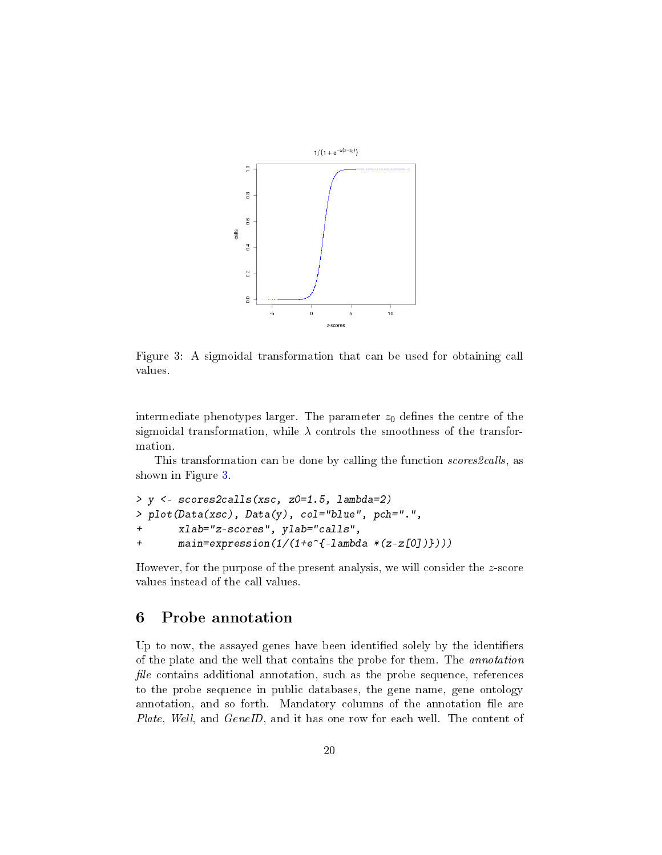

<span id="page-19-1"></span>Figure 3: A sigmoidal transformation that can be used for obtaining call values.

intermediate phenotypes larger. The parameter  $z_0$  defines the centre of the sigmoidal transformation, while  $\lambda$  controls the smoothness of the transformation.

This transformation can be done by calling the function *scores2calls*, as shown in Figure [3.](#page-19-1)

```
> y <- scores2calls(xsc, z0=1.5, lambda=2)
> plot(Data(xsc), Data(y), col="blue", pch=".",
+ xlab="z-scores", ylab="calls",
+ main=expression(1/(1+e^{-lambda *(z-z[0])})))
```
However, for the purpose of the present analysis, we will consider the z-score values instead of the call values.

# <span id="page-19-0"></span>6 Probe annotation

Up to now, the assayed genes have been identified solely by the identifiers of the plate and the well that contains the probe for them. The annotation *file* contains additional annotation, such as the probe sequence, references to the probe sequence in public databases, the gene name, gene ontology annotation, and so forth. Mandatory columns of the annotation file are Plate, Well, and GeneID, and it has one row for each well. The content of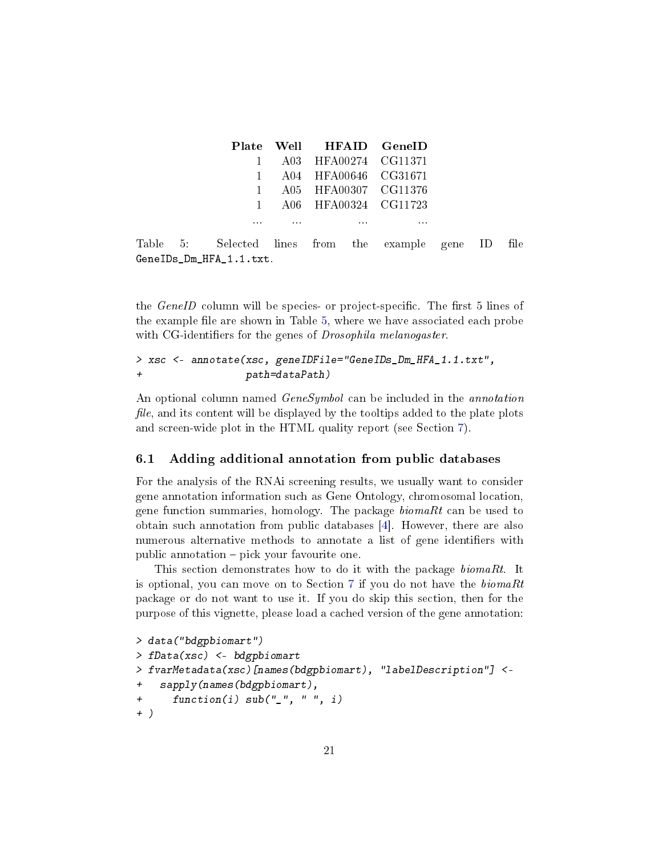<span id="page-20-2"></span>

|  |                                                       |            |                            | Plate Well HFAID GeneID |  |  |
|--|-------------------------------------------------------|------------|----------------------------|-------------------------|--|--|
|  |                                                       |            |                            | A03 HFA00274 CG11371    |  |  |
|  | $\mathbf{1}$                                          |            |                            | A04 HFA00646 CG31671    |  |  |
|  | $\mathbf{1}$                                          |            |                            | A05 HFA00307 CG11376    |  |  |
|  | $1 \quad$                                             |            |                            | A06 HFA00324 CG11723    |  |  |
|  | $\cdots$                                              | $\sim 100$ | the contract of the state. | $\sim$ $\sim$ $\sim$    |  |  |
|  | Table 5: Selected lines from the example gene ID file |            |                            |                         |  |  |
|  | GeneIDs Dm HFA 1.1.txt.                               |            |                            |                         |  |  |

<span id="page-20-1"></span>the  $GeneID$  column will be species- or project-specific. The first 5 lines of the example file are shown in Table  $5$ , where we have associated each probe with CG-identifiers for the genes of *Drosophila melanogaster*.

```
> xsc <- annotate(xsc, geneIDFile="GeneIDs_Dm_HFA_1.1.txt",
+ path=dataPath)
```
An optional column named *GeneSymbol* can be included in the *annotation file*, and its content will be displayed by the tooltips added to the plate plots and screen-wide plot in the HTML quality report (see Section [7\)](#page-24-0).

#### <span id="page-20-0"></span>6.1 Adding additional annotation from public databases

For the analysis of the RNAi screening results, we usually want to consider gene annotation information such as Gene Ontology, chromosomal location, gene function summaries, homology. The package  $biom R$  can be used to obtain such annotation from public databases [\[4\]](#page-43-2). However, there are also numerous alternative methods to annotate a list of gene identifiers with public annotation  $-$  pick your favourite one.

This section demonstrates how to do it with the package *biomaRt*. It is optional, you can move on to Section [7](#page-24-0) if you do not have the  $biom \alpha Rt$ package or do not want to use it. If you do skip this section, then for the purpose of this vignette, please load a cached version of the gene annotation:

```
> data("bdgpbiomart")
> fData(xsc) <- bdgpbiomart
> fvarMetadata(xsc)[names(bdgpbiomart), "labelDescription"] <-
+ sapply(names(bdgpbiomart),
+ function(i) sub("_", " ", i)
+ )
```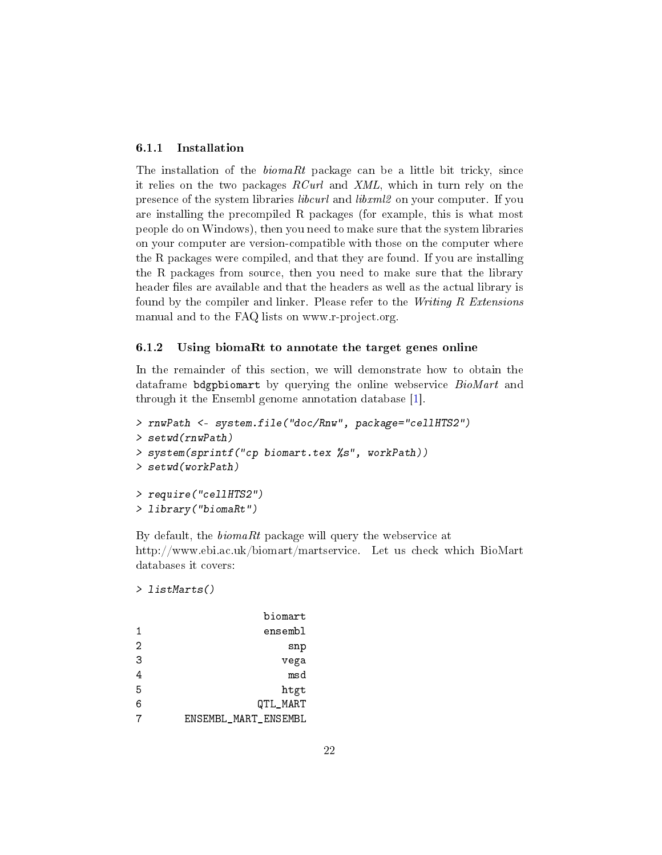#### <span id="page-21-2"></span><span id="page-21-0"></span>6.1.1 Installation

The installation of the  $biomakt$  package can be a little bit tricky, since it relies on the two packages RCurl and XML, which in turn rely on the presence of the system libraries libcurl and libxml2 on your computer. If you are installing the precompiled R packages (for example, this is what most people do on Windows), then you need to make sure that the system libraries on your computer are version-compatible with those on the computer where the R packages were compiled, and that they are found. If you are installing the R packages from source, then you need to make sure that the library header files are available and that the headers as well as the actual library is found by the compiler and linker. Please refer to the Writing R Extensions manual and to the FAQ lists on www.r-project.org.

#### <span id="page-21-1"></span>6.1.2 Using biomaRt to annotate the target genes online

In the remainder of this section, we will demonstrate how to obtain the dataframe bdgpbiomart by querying the online webservice BioMart and through it the Ensembl genome annotation database [\[1\]](#page-43-3).

```
> rnwPath <- system.file("doc/Rnw", package="cellHTS2")
> setwd(rnwPath)
> system(sprintf("cp biomart.tex %s", workPath))
> setwd(workPath)
> require("cellHTS2")
> library("biomaRt")
```
By default, the  $biom \alpha Rt$  package will query the webservice at http://www.ebi.ac.uk/biomart/martservice. Let us check which BioMart databases it covers:

> listMarts()

|   | biomart              |
|---|----------------------|
| 1 | ensembl              |
| 2 | snp                  |
| 3 | vega                 |
| 4 | msd                  |
| 5 | htgt                 |
| 6 | QTL_MART             |
|   | ENSEMBL MART ENSEMBL |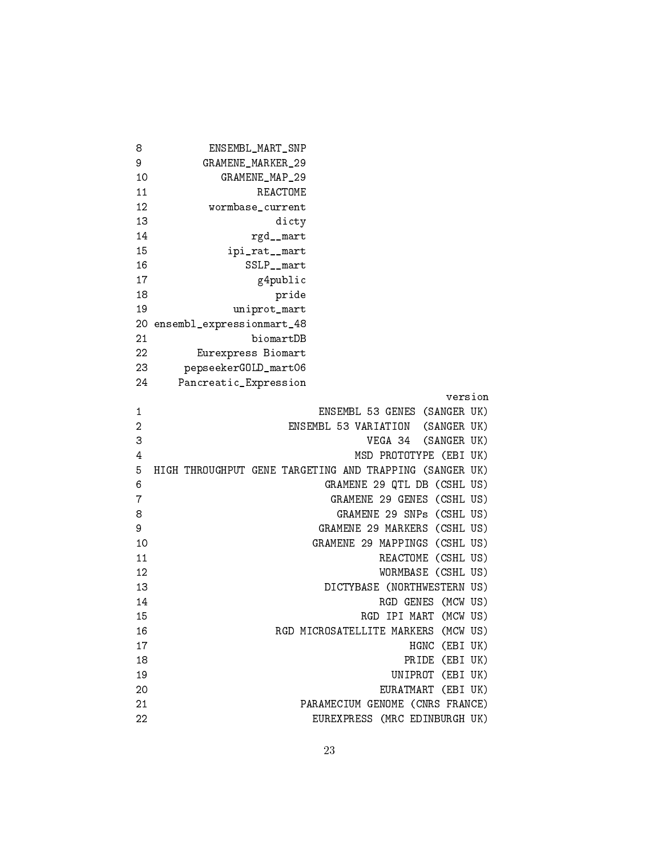| 8              | ENSEMBL_MART_SNP                                        |  |
|----------------|---------------------------------------------------------|--|
| 9              | GRAMENE_MARKER_29                                       |  |
| 10             | GRAMENE_MAP_29                                          |  |
| 11             | REACTOME                                                |  |
| 12             | wormbase_current                                        |  |
| 13             | dicty                                                   |  |
| 14             | rgd__mart                                               |  |
| 15             | ipi_rat__mart                                           |  |
| 16             | SSLP__mart                                              |  |
| 17             | g4public                                                |  |
| 18             | pride                                                   |  |
| 19             | uniprot_mart                                            |  |
| 20             | ensembl_expressionmart_48                               |  |
| 21             | biomartDB                                               |  |
| 22             | Eurexpress Biomart                                      |  |
| 23             | pepseekerGOLD_mart06                                    |  |
| 24             | Pancreatic_Expression                                   |  |
|                | version                                                 |  |
| $\mathbf 1$    | ENSEMBL 53 GENES (SANGER UK)                            |  |
| $\overline{c}$ | ENSEMBL 53 VARIATION (SANGER UK)                        |  |
| 3              | VEGA 34<br>(SANGER UK)<br>MSD PROTOTYPE (EBI UK)        |  |
| 4<br>5         | HIGH THROUGHPUT GENE TARGETING AND TRAPPING (SANGER UK) |  |
| 6              | GRAMENE 29 QTL DB (CSHL US)                             |  |
| 7              | GRAMENE 29 GENES (CSHL US)                              |  |
| 8              | GRAMENE 29 SNPs (CSHL US)                               |  |
| 9              | GRAMENE 29 MARKERS (CSHL US)                            |  |
| 10             | GRAMENE 29 MAPPINGS<br>(CSHL US)                        |  |
| 11             | REACTOME (CSHL US)                                      |  |
| 12             | WORMBASE (CSHL US)                                      |  |
| 13             | DICTYBASE (NORTHWESTERN US)                             |  |
| 14             | RGD GENES (MCW US)                                      |  |
| 15             | (MCW US)<br>RGD IPI MART                                |  |
| 16             | RGD MICROSATELLITE MARKERS (MCW US)                     |  |
| 17             | HGNC (EBI UK)                                           |  |
| 18             | PRIDE (EBI UK)                                          |  |
| 19             | UNIPROT (EBI UK)                                        |  |
| 20             | EURATMART (EBI UK)                                      |  |
| 21             | PARAMECIUM GENOME (CNRS FRANCE)                         |  |
| 22             | EUREXPRESS (MRC EDINBURGH UK)                           |  |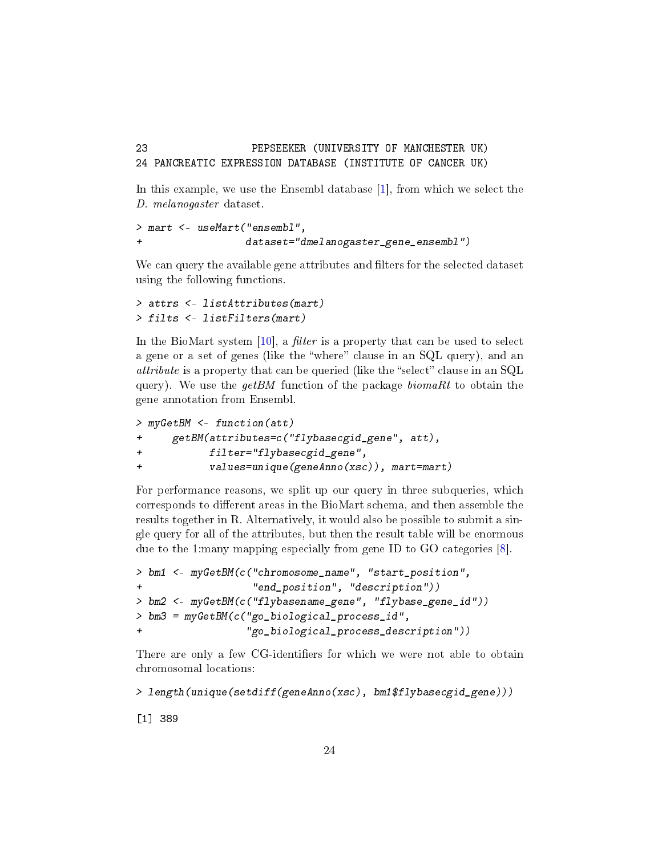<span id="page-23-0"></span>23 PEPSEEKER (UNIVERSITY OF MANCHESTER UK) 24 PANCREATIC EXPRESSION DATABASE (INSTITUTE OF CANCER UK)

In this example, we use the Ensembl database [\[1\]](#page-43-3), from which we select the D. melanogaster dataset.

```
> mart <- useMart("ensembl",
+ dataset="dmelanogaster_gene_ensembl")
```
We can query the available gene attributes and filters for the selected dataset using the following functions.

```
> attrs <- listAttributes(mart)
> filts <- listFilters(mart)
```
In the BioMart system [\[10\]](#page-44-2), a *filter* is a property that can be used to select a gene or a set of genes (like the "where" clause in an SQL query), and an attribute is a property that can be queried (like the "select" clause in an SQL query). We use the  $qetBM$  function of the package  $biomaRt$  to obtain the gene annotation from Ensembl.

```
> myGetBM <- function(att)
+ getBM(attributes=c("flybasecgid_gene", att),
+ filter="flybasecgid_gene",
+ values=unique(geneAnno(xsc)), mart=mart)
```
For performance reasons, we split up our query in three subqueries, which corresponds to different areas in the BioMart schema, and then assemble the results together in R. Alternatively, it would also be possible to submit a single query for all of the attributes, but then the result table will be enormous due to the 1:many mapping especially from gene ID to GO categories [\[8\]](#page-44-3).

```
> bm1 <- myGetBM(c("chromosome_name", "start_position",
+ "end_position", "description"))
> bm2 <- myGetBM(c("flybasename_gene", "flybase_gene_id"))
> bm3 = myGetBM(c("go_biological_process_id",
+ "go_biological_process_description"))
```
There are only a few CG-identifiers for which we were not able to obtain chromosomal locations:

```
> length(unique(setdiff(geneAnno(xsc), bm1$flybasecgid_gene)))
```
[1] 389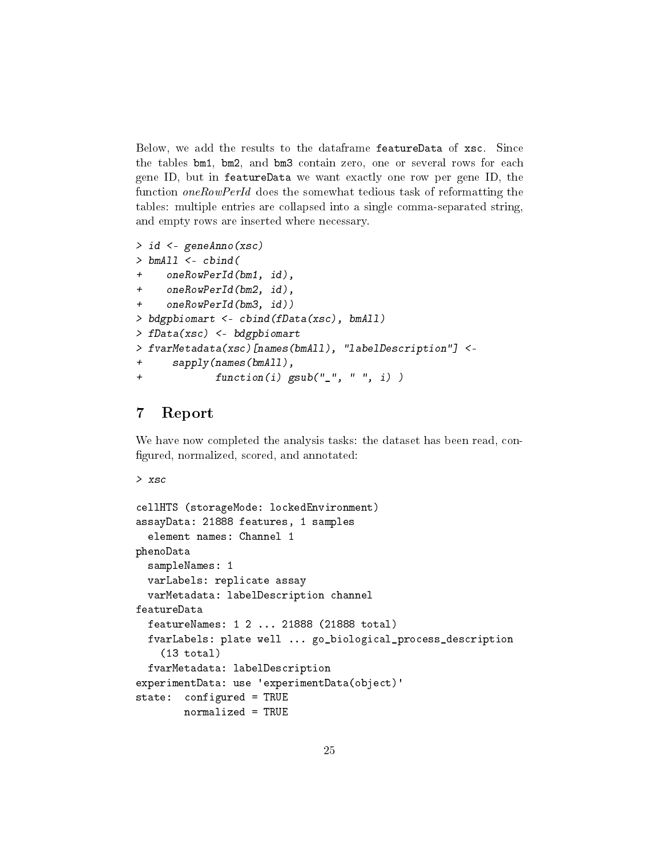Below, we add the results to the dataframe featureData of xsc. Since the tables bm1, bm2, and bm3 contain zero, one or several rows for each gene ID, but in featureData we want exactly one row per gene ID, the function oneRowPerId does the somewhat tedious task of reformatting the tables: multiple entries are collapsed into a single comma-separated string, and empty rows are inserted where necessary.

```
> id <- geneAnno(xsc)
> bmAll <- cbind(
+ oneRowPerId(bm1, id),
+ oneRowPerId(bm2, id),
+ oneRowPerId(bm3, id))
> bdgpbiomart <- cbind(fData(xsc), bmAll)
> fData(xsc) <- bdgpbiomart
> fvarMetadata(xsc)[names(bmAll), "labelDescription"] <-
+ sapply(names(bmAll),
+ function(i) gsub("_", " ", i) )
```
# <span id="page-24-0"></span>7 Report

We have now completed the analysis tasks: the dataset has been read, con figured, normalized, scored, and annotated:

```
> xsc
cellHTS (storageMode: lockedEnvironment)
assayData: 21888 features, 1 samples
  element names: Channel 1
phenoData
  sampleNames: 1
  varLabels: replicate assay
  varMetadata: labelDescription channel
featureData
  featureNames: 1 2 ... 21888 (21888 total)
  fvarLabels: plate well ... go_biological_process_description
    (13 total)
  fvarMetadata: labelDescription
experimentData: use 'experimentData(object)'
state: configured = TRUE
        normalized = TRUE
```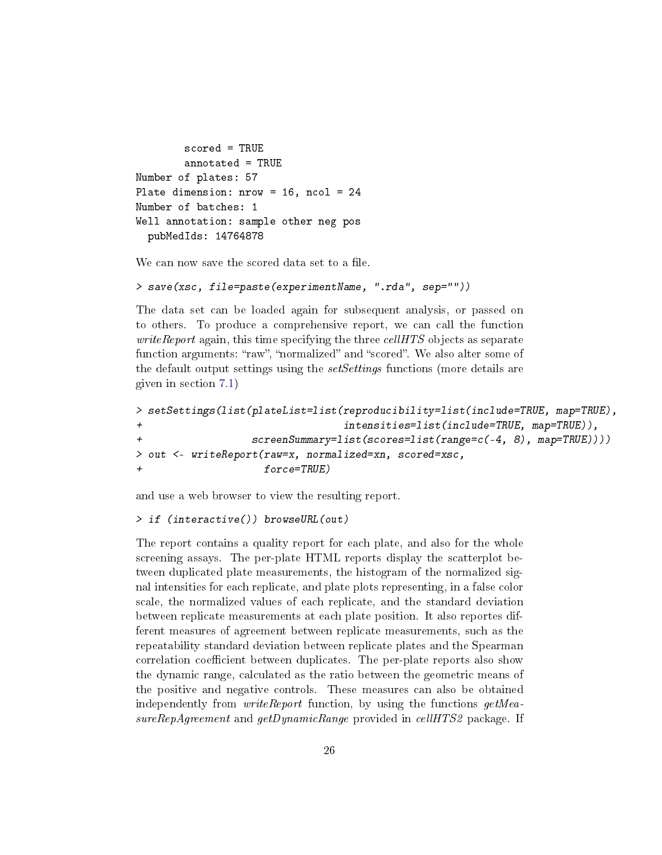```
scored = TRUE
        annotated = TRUE
Number of plates: 57
Plate dimension: nrow = 16, ncol = 24
Number of batches: 1
Well annotation: sample other neg pos
  pubMedIds: 14764878
```
We can now save the scored data set to a file.

```
> save(xsc, file=paste(experimentName, ".rda", sep=""))
```
The data set can be loaded again for subsequent analysis, or passed on to others. To produce a comprehensive report, we can call the function  $writeReport$  again, this time specifying the three  $cellHTS$  objects as separate function arguments: "raw", "normalized" and "scored". We also alter some of the default output settings using the *setSettings* functions (more details are given in section [7.1\)](#page-28-0)

```
> setSettings(list(plateList=list(reproducibility=list(include=TRUE, map=TRUE),
+ intensities=list(include=TRUE, map=TRUE)),
+ screenSummary=list(scores=list(range=c(-4, 8), map=TRUE))))
> out <- writeReport(raw=x, normalized=xn, scored=xsc,
                 force=TRUE)
```
and use a web browser to view the resulting report.

```
> if (interactive()) browseURL(out)
```
The report contains a quality report for each plate, and also for the whole screening assays. The per-plate HTML reports display the scatterplot between duplicated plate measurements, the histogram of the normalized signal intensities for each replicate, and plate plots representing, in a false color scale, the normalized values of each replicate, and the standard deviation between replicate measurements at each plate position. It also reportes different measures of agreement between replicate measurements, such as the repeatability standard deviation between replicate plates and the Spearman correlation coefficient between duplicates. The per-plate reports also show the dynamic range, calculated as the ratio between the geometric means of the positive and negative controls. These measures can also be obtained independently from *writeReport* function, by using the functions  $q e tMea$  $sureRepAgreement$  and  $getDynamicRange$  provided in cellHTS2 package. If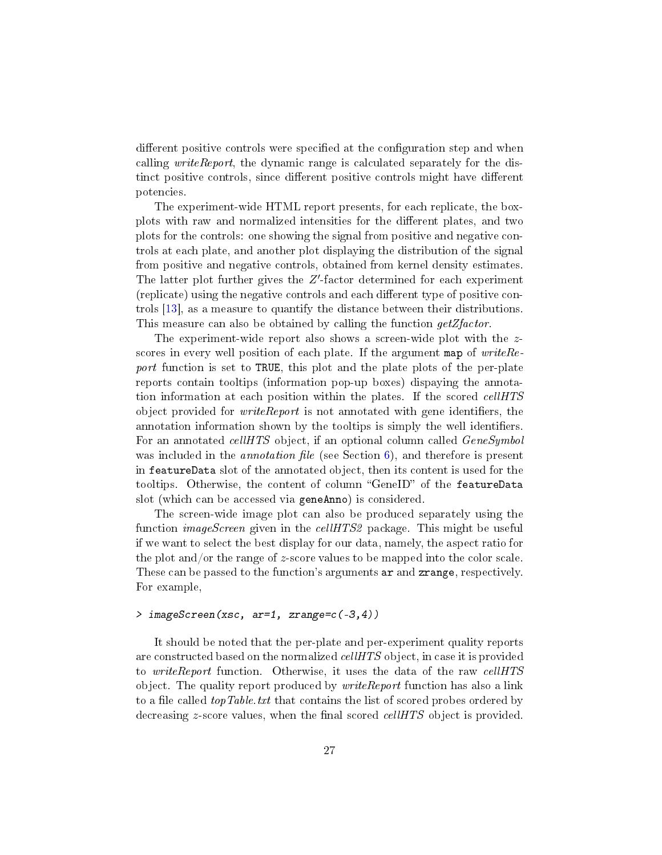<span id="page-26-0"></span>different positive controls were specified at the configuration step and when calling writeReport, the dynamic range is calculated separately for the distinct positive controls, since different positive controls might have different potencies.

The experiment-wide HTML report presents, for each replicate, the boxplots with raw and normalized intensities for the different plates, and two plots for the controls: one showing the signal from positive and negative controls at each plate, and another plot displaying the distribution of the signal from positive and negative controls, obtained from kernel density estimates. The latter plot further gives the  $Z'$ -factor determined for each experiment (replicate) using the negative controls and each different type of positive controls [\[13\]](#page-44-4), as a measure to quantify the distance between their distributions. This measure can also be obtained by calling the function  $getZ factor$ .

The experiment-wide report also shows a screen-wide plot with the zscores in every well position of each plate. If the argument map of write Report function is set to TRUE, this plot and the plate plots of the per-plate reports contain tooltips (information pop-up boxes) dispaying the annotation information at each position within the plates. If the scored *cellHTS* object provided for  $writeReport$  is not annotated with gene identifiers, the annotation information shown by the tooltips is simply the well identifiers. For an annotated *cellHTS* object, if an optional column called *GeneSymbol* was included in the *annotation file* (see Section  $6$ ), and therefore is present in featureData slot of the annotated object, then its content is used for the tooltips. Otherwise, the content of column "GeneID" of the featureData slot (which can be accessed via geneAnno) is considered.

The screen-wide image plot can also be produced separately using the function *imageScreen* given in the *cellHTS2* package. This might be useful if we want to select the best display for our data, namely, the aspect ratio for the plot and/or the range of  $z$ -score values to be mapped into the color scale. These can be passed to the function's arguments ar and zrange, respectively. For example,

#### > imageScreen(xsc, ar=1, zrange=c(-3,4))

It should be noted that the per-plate and per-experiment quality reports are constructed based on the normalized *cellHTS* object, in case it is provided to writeReport function. Otherwise, it uses the data of the raw cellHTS object. The quality report produced by  $writeReport$  function has also a link to a file called top Table.txt that contains the list of scored probes ordered by decreasing z-score values, when the final scored *cellHTS* object is provided.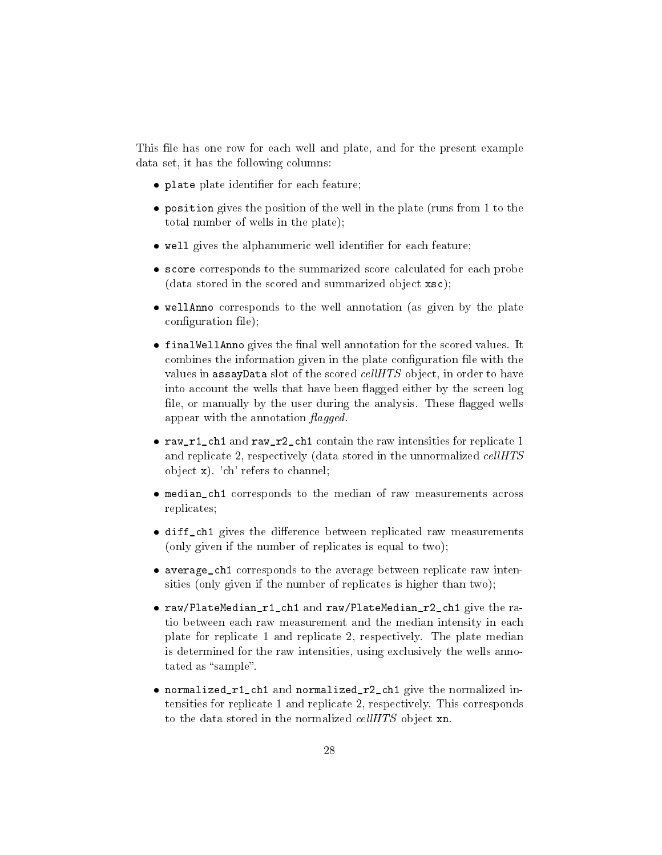This file has one row for each well and plate, and for the present example data set, it has the following columns:

- plate plate identifier for each feature;
- position gives the position of the well in the plate (runs from 1 to the total number of wells in the plate);
- $\bullet$  well gives the alphanumeric well identifier for each feature;
- score corresponds to the summarized score calculated for each probe (data stored in the scored and summarized object xsc);
- wellAnno corresponds to the well annotation (as given by the plate  $\text{configuration file}$ ;
- $\bullet$  finalWellAnno gives the final well annotation for the scored values. It combines the information given in the plate configuration file with the values in assayData slot of the scored cellHTS object, in order to have into account the wells that have been flagged either by the screen log file, or manually by the user during the analysis. These flagged wells appear with the annotation  $\beta$ *laqued*.
- raw\_r1\_ch1 and raw\_r2\_ch1 contain the raw intensities for replicate 1 and replicate 2, respectively (data stored in the unnormalized cellHTS object x). 'ch' refers to channel;
- median\_ch1 corresponds to the median of raw measurements across replicates;
- diff\_ch1 gives the difference between replicated raw measurements (only given if the number of replicates is equal to two);
- average\_ch1 corresponds to the average between replicate raw intensities (only given if the number of replicates is higher than two);
- raw/PlateMedian\_r1\_ch1 and raw/PlateMedian\_r2\_ch1 give the ratio between each raw measurement and the median intensity in each plate for replicate 1 and replicate 2, respectively. The plate median is determined for the raw intensities, using exclusively the wells annotated as "sample".
- normalized\_r1\_ch1 and normalized\_r2\_ch1 give the normalized intensities for replicate 1 and replicate 2, respectively. This corresponds to the data stored in the normalized cellHTS object xn.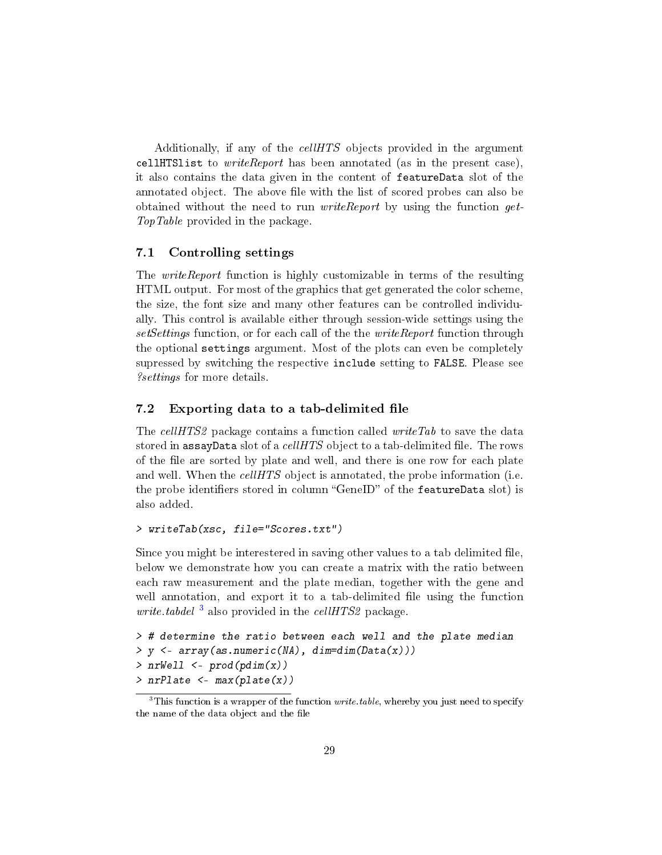Additionally, if any of the cellHTS objects provided in the argument cellHTS list to *write Report* has been annotated (as in the present case), it also contains the data given in the content of featureData slot of the annotated object. The above file with the list of scored probes can also be obtained without the need to run  $writeReport$  by using the function get-TopTable provided in the package.

### <span id="page-28-0"></span>7.1 Controlling settings

The *writeReport* function is highly customizable in terms of the resulting HTML output. For most of the graphics that get generated the color scheme, the size, the font size and many other features can be controlled individually. This control is available either through session-wide settings using the set Settings function, or for each call of the the *writeReport* function through the optional settings argument. Most of the plots can even be completely supressed by switching the respective include setting to FALSE. Please see ?settings for more details.

#### <span id="page-28-1"></span>7.2 Exporting data to a tab-delimited file

The cellHTS2 package contains a function called write Tab to save the data stored in assayData slot of a  $cellHTS$  object to a tab-delimited file. The rows of the file are sorted by plate and well, and there is one row for each plate and well. When the cellHTS object is annotated, the probe information (i.e. the probe identifiers stored in column "GeneID" of the  $\texttt{featureData slot}$  is also added.

#### > writeTab(xsc, file="Scores.txt")

Since you might be interestered in saving other values to a tab delimited file, below we demonstrate how you can create a matrix with the ratio between each raw measurement and the plate median, together with the gene and well annotation, and export it to a tab-delimited file using the function *write.tabdel*  $\frac{3}{2}$  $\frac{3}{2}$  $\frac{3}{2}$  also provided in the *cellHTS2* package.

```
> # determine the ratio between each well and the plate median
> y <- array(as.numeric(NA), dim=dim(Data(x)))
> nrWell <- prod(pdim(x))
> nrPlate <- max(plate(x))
```
<span id="page-28-2"></span> $3$ This function is a wrapper of the function *write.table*, whereby you just need to specify the name of the data object and the file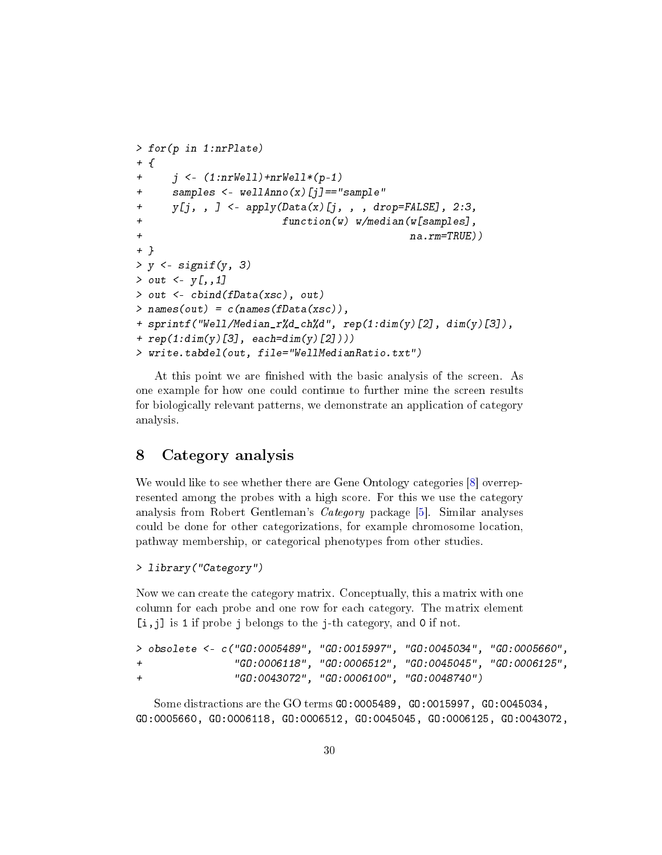```
> for(p in 1:nrPlate)
+ {
+ j \leq (1:nrWell) + nrWell * (p-1)+ samples <- wellAnno(x)[j]=="sample"
+ y[j, j] <- apply(Data(x)[j, , drop=FALSE], 2:3,
+ function(w) w/median(w[samples],
+ na.rm=TRUE))
+ }
> y \lt- signif(y, 3)
> out <- y[,, 1]
> out <- cbind(fData(xsc), out)
> names(out) = c(names(fData(xsc)),
+ sprintf("Well/Median_r%d_ch%d", rep(1:dim(y)[2], dim(y)[3]),
+ rep(1:dim(y)[3], each=dim(y)[2])))
> write.tabdel(out, file="WellMedianRatio.txt")
```
At this point we are finished with the basic analysis of the screen. As one example for how one could continue to further mine the screen results for biologically relevant patterns, we demonstrate an application of category analysis.

# <span id="page-29-0"></span>8 Category analysis

We would like to see whether there are Gene Ontology categories [\[8\]](#page-44-3) overrepresented among the probes with a high score. For this we use the category analysis from Robert Gentleman's *Category* package [\[5\]](#page-43-4). Similar analyses could be done for other categorizations, for example chromosome location, pathway membership, or categorical phenotypes from other studies.

```
> library("Category")
```
Now we can create the category matrix. Conceptually, this a matrix with one column for each probe and one row for each category. The matrix element [i,j] is 1 if probe j belongs to the j-th category, and 0 if not.

```
> obsolete <- c("GO:0005489", "GO:0015997", "GO:0045034", "GO:0005660",
+ "GO:0006118", "GO:0006512", "GO:0045045", "GO:0006125",
+ "GO:0043072", "GO:0006100", "GO:0048740")
```
Some distractions are the GO terms GO:0005489, GO:0015997, GO:0045034, GO:0005660, GO:0006118, GO:0006512, GO:0045045, GO:0006125, GO:0043072,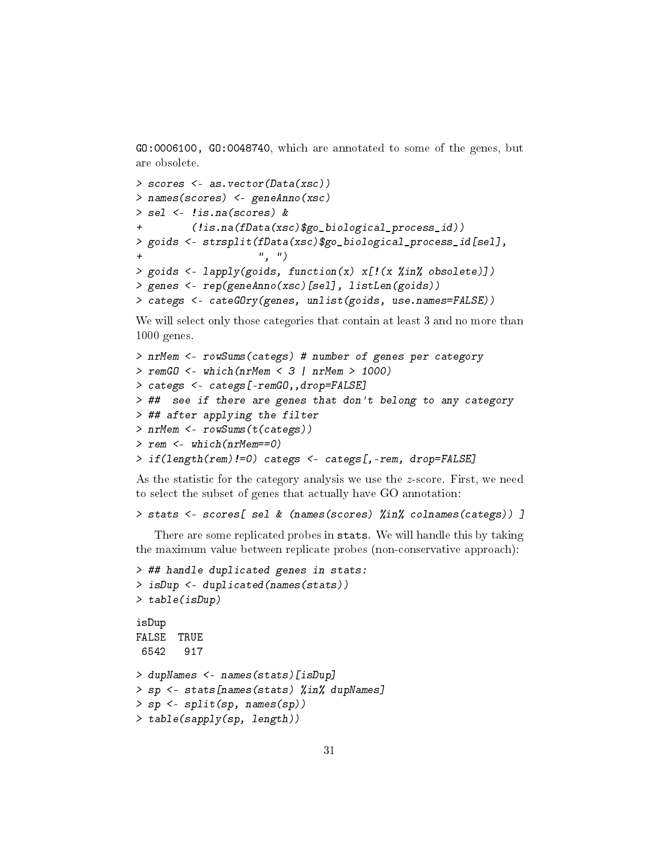GO:0006100, GO:0048740, which are annotated to some of the genes, but are obsolete.

```
> scores <- as.vector(Data(xsc))
> names(scores) <- geneAnno(xsc)
> sel <- !is.na(scores) &
         + (!is.na(fData(xsc)$go_biological_process_id))
> goids <- strsplit(fData(xsc)$go_biological_process_id[sel],
                      ^{\prime\prime}, ^{\prime\prime})
> goids <- lapply(goids, function(x) x[!(x %in% obsolete)])
> genes <- rep(geneAnno(xsc)[sel], listLen(goids))
> categs <- cateGOry(genes, unlist(goids, use.names=FALSE))
```
We will select only those categories that contain at least 3 and no more than 1000 genes.

```
> nrMem <- rowSums(categs) # number of genes per category
> remGO <- which(nrMem < 3 | nrMem > 1000)
> categs <- categs[-remGO,,drop=FALSE]
> ## see if there are genes that don't belong to any category
> ## after applying the filter
> nrMem <- rowSums(t(categs))
> rem <- which(nrMem==0)
> if(length(rem)!=0) categs <- categs[,-rem, drop=FALSE]
```
As the statistic for the category analysis we use the z-score. First, we need to select the subset of genes that actually have GO annotation:

```
> stats <- scores[ sel & (names(scores) %in% colnames(categs)) ]
```
There are some replicated probes in stats. We will handle this by taking the maximum value between replicate probes (non-conservative approach):

```
> ## handle duplicated genes in stats:
> isDup <- duplicated(names(stats))
> table(isDup)
isDup
FALSE TRUE
 6542 917
> dupNames <- names(stats)[isDup]
> sp <- stats[names(stats) %in% dupNames]
> sp <- split(sp, names(sp))
> table(sapply(sp, length))
```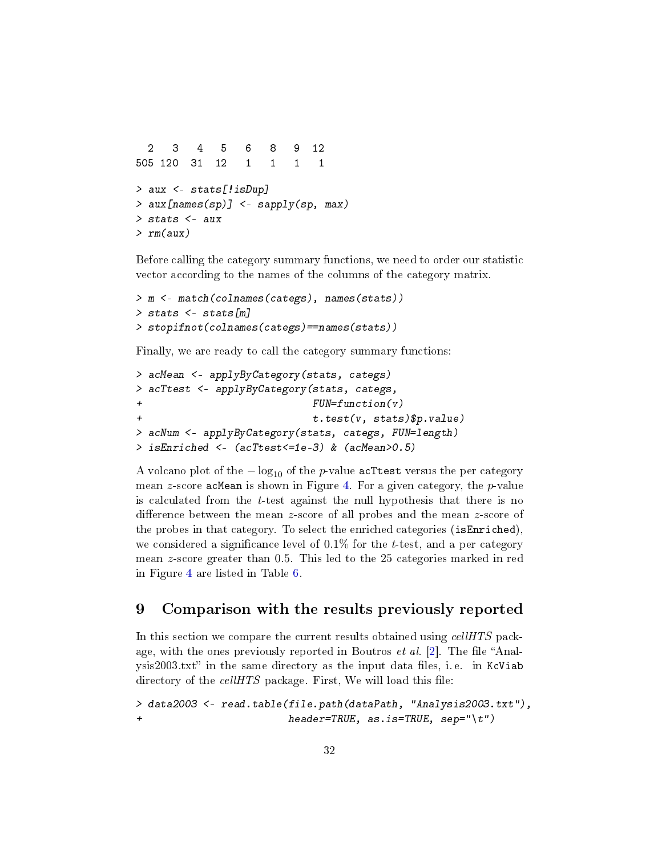```
2 3 4 5 6 8 9 12
505 120 31 12 1 1 1 1
> aux <- stats[!isDup]
> aux[names(sp)] <- sapply(sp, max)
> stats <- aux
> rm(aux)
```
Before calling the category summary functions, we need to order our statistic vector according to the names of the columns of the category matrix.

```
> m <- match(colnames(categs), names(stats))
> stats <- stats[m]
> stopifnot(colnames(categs)==names(stats))
```
Finally, we are ready to call the category summary functions:

```
> acMean <- applyByCategory(stats, categs)
> acTtest <- applyByCategory(stats, categs,
+ FUN=function(v)
+ t.test(v, stats)$p.value)
> acNum <- applyByCategory(stats, categs, FUN=length)
> isEnriched <- (acTtest<=1e-3) & (acMean>0.5)
```
A volcano plot of the  $-\log_{10}$  of the p-value acTtest versus the per category mean z-score acMean is shown in Figure [4.](#page-33-1) For a given category, the  $p$ -value is calculated from the t-test against the null hypothesis that there is no difference between the mean z-score of all probes and the mean z-score of the probes in that category. To select the enriched categories (isEnriched), we considered a significance level of  $0.1\%$  for the t-test, and a per category mean z-score greater than 0.5. This led to the 25 categories marked in red in Figure [4](#page-33-1) are listed in Table [6.](#page-32-0)

### <span id="page-31-0"></span>9 Comparison with the results previously reported

In this section we compare the current results obtained using *cellHTS* package, with the ones previously reported in Boutros  $et \ al.$  [\[2\]](#page-43-1). The file "Anal $ysis2003.txt$ " in the same directory as the input data files, i.e. in KcViab directory of the  $cellHTS$  package. First, We will load this file:

```
> data2003 <- read.table(file.path(dataPath, "Analysis2003.txt"),
+ header=TRUE, as.is=TRUE, sep="\t")
```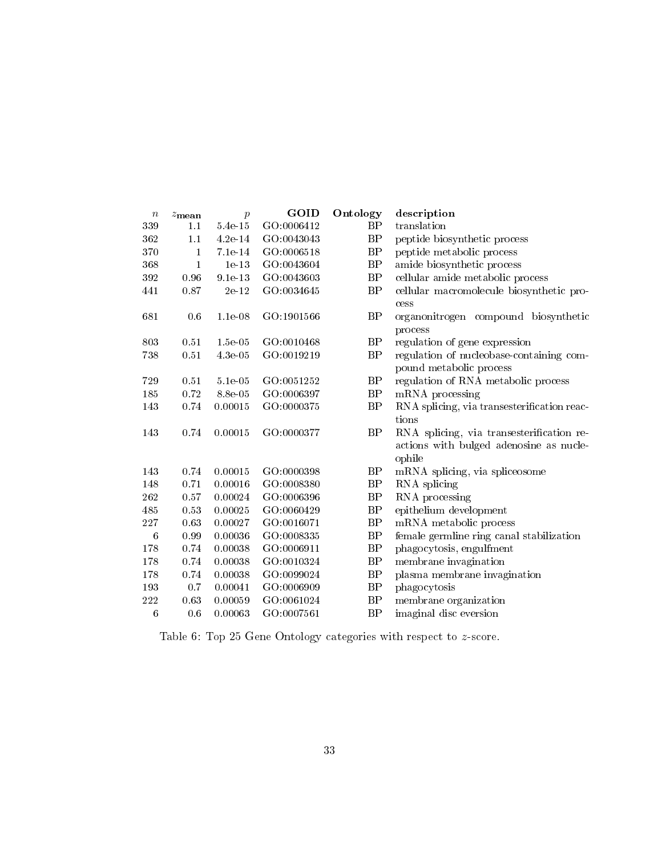| $\boldsymbol{n}$ | $z_{\mathbf{mean}}$ | $\,p\,$       | GOID       | Ontology  | description                                 |  |
|------------------|---------------------|---------------|------------|-----------|---------------------------------------------|--|
| 339              | 1.1                 | $5.4e-15$     | GO:0006412 | BP        | translation                                 |  |
| 362              | 1.1                 | $4.2e-14$     | GO:0043043 | <b>BP</b> | peptide biosynthetic process                |  |
| 370              | 1                   | 7.1e-14       | GO:0006518 | BP        | peptide metabolic process                   |  |
| 368              | $\mathbf{1}$        | $1e-13$       | GO:0043604 | BP        | amide biosynthetic process                  |  |
| 392              | 0.96                | 9.1e-13       | GO:0043603 | BP        | cellular amide metabolic process            |  |
| 441              | 0.87                | $2e-12$       | GO:0034645 | BP        | cellular macromolecule biosynthetic pro-    |  |
|                  |                     |               |            |           | cess                                        |  |
| 681              | 0.6                 | $1.1e-08$     | GO 1901566 | BP        | organonitrogen compound biosynthetic        |  |
|                  |                     |               |            |           | process                                     |  |
| 803              | 0.51                | $1.5e-05$     | GO:0010468 | BP        | regulation of gene expression               |  |
| 738              | 0.51                | $4\,$ 3e $05$ | GO:0019219 | BP        | regulation of nucleobase-containing com-    |  |
|                  |                     |               |            |           | pound metabolic process                     |  |
| 729              | 0.51                | $5.1e-05$     | GO:0051252 | <b>BP</b> | regulation of RNA metabolic process         |  |
| 185              | 0.72                | 8.8e-05       | GO:0006397 | BP        | mRNA processing                             |  |
| 143              | 0.74                | 0.00015       | GO:0000375 | <b>BP</b> | RNA splicing, via transesterification reac- |  |
|                  |                     |               |            |           | tions                                       |  |
| 143              | 0.74                | 0.00015       | GO:0000377 | <b>BP</b> | RNA splicing, via transesterification re-   |  |
|                  |                     |               |            |           | actions with bulged adenosine as nucle-     |  |
|                  |                     |               |            |           | ophile                                      |  |
| 143              | 0.74                | 0.00015       | GO:0000398 | BP        | mRNA splicing, via spliceosome              |  |
| 148              | 0.71                | 0.00016       | GO:0008380 | <b>BP</b> | RNA splicing                                |  |
| 262              | 0.57                | 0.00024       | GO:0006396 | BP        | RNA processing                              |  |
| 485              | 0.53                | 0.00025       | GO:0060429 | BP        | epithelium development                      |  |
| 227              | 0.63                | 0.00027       | GO:0016071 | <b>BP</b> | mRNA metabolic process                      |  |
| 6                | 0.99                | 0.00036       | GO:0008335 | BP        | female germline ring canal stabilization    |  |
| 178              | 0.74                | 0.00038       | GO:0006911 | <b>BP</b> | phagocytosis, engulfment                    |  |
| 178              | 0.74                | 0.00038       | GO:0010324 | BP        | membrane invagination                       |  |
| 178              | 0.74                | 0.00038       | GO:0099024 | BP        | plasma membrane invagination                |  |
| 193              | 0.7                 | 0.00041       | GO:0006909 | <b>BP</b> | phagocytosis                                |  |
| 222              | 0.63                | 0.00059       | GO:0061024 | <b>BP</b> | membrane organization                       |  |
| 6                | 0.6                 | 0.00063       | GO:0007561 | BP        | imaginal disc eversion                      |  |

<span id="page-32-0"></span>Table 6: Top 25 Gene Ontology categories with respect to z-score.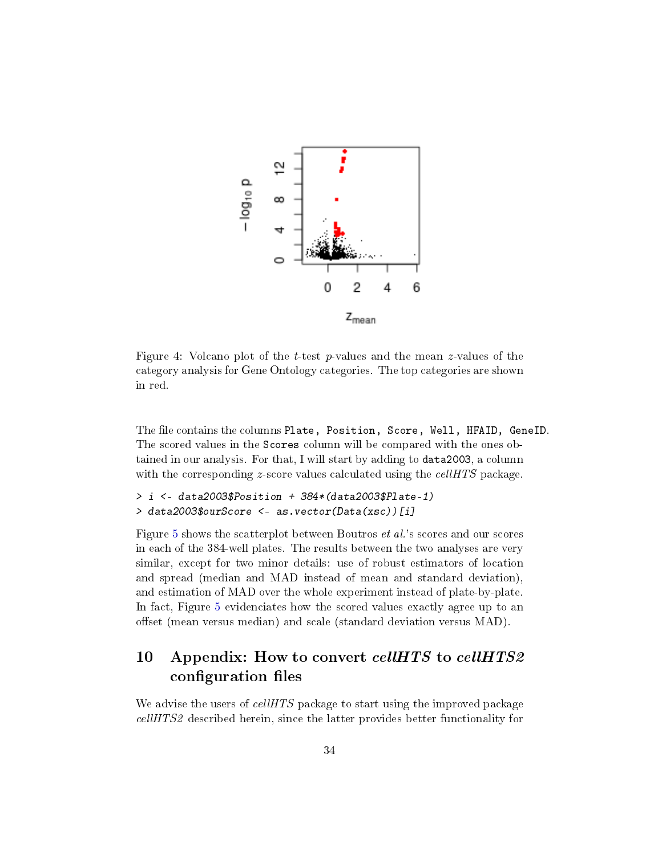

<span id="page-33-1"></span>Figure 4: Volcano plot of the *t*-test  $p$ -values and the mean  $z$ -values of the category analysis for Gene Ontology categories. The top categories are shown in red.

The file contains the columns Plate, Position, Score, Well, HFAID, GeneID. The scored values in the Scores column will be compared with the ones obtained in our analysis. For that, I will start by adding to data2003, a column with the corresponding z-score values calculated using the *cellHTS* package.

```
> i <- data2003$Position + 384*(data2003$Plate-1)
> data2003$ourScore <- as.vector(Data(xsc))[i]
```
Figure [5](#page-34-0) shows the scatterplot between Boutros et al.'s scores and our scores in each of the 384-well plates. The results between the two analyses are very similar, except for two minor details: use of robust estimators of location and spread (median and MAD instead of mean and standard deviation), and estimation of MAD over the whole experiment instead of plate-by-plate. In fact, Figure [5](#page-34-0) evidenciates how the scored values exactly agree up to an offset (mean versus median) and scale (standard deviation versus MAD).

# <span id="page-33-0"></span>10 Appendix: How to convert cellHTS to cellHTS2 configuration files

We advise the users of cellHTS package to start using the improved package cellHTS2 described herein, since the latter provides better functionality for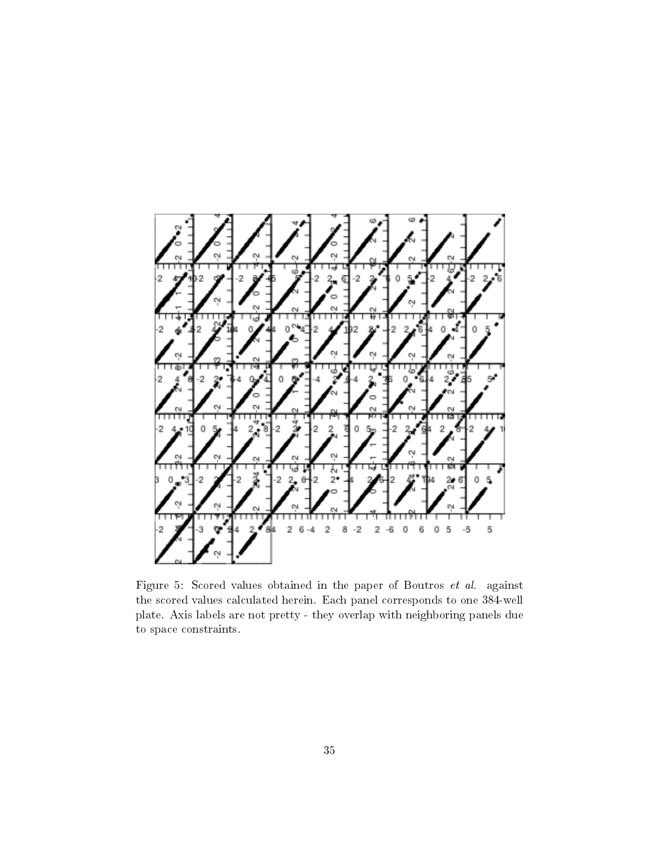

<span id="page-34-0"></span>Figure 5: Scored values obtained in the paper of Boutros et al. against the scored values calculated herein. Each panel corresponds to one 384-well plate. Axis labels are not pretty - they overlap with neighboring panels due to space constraints.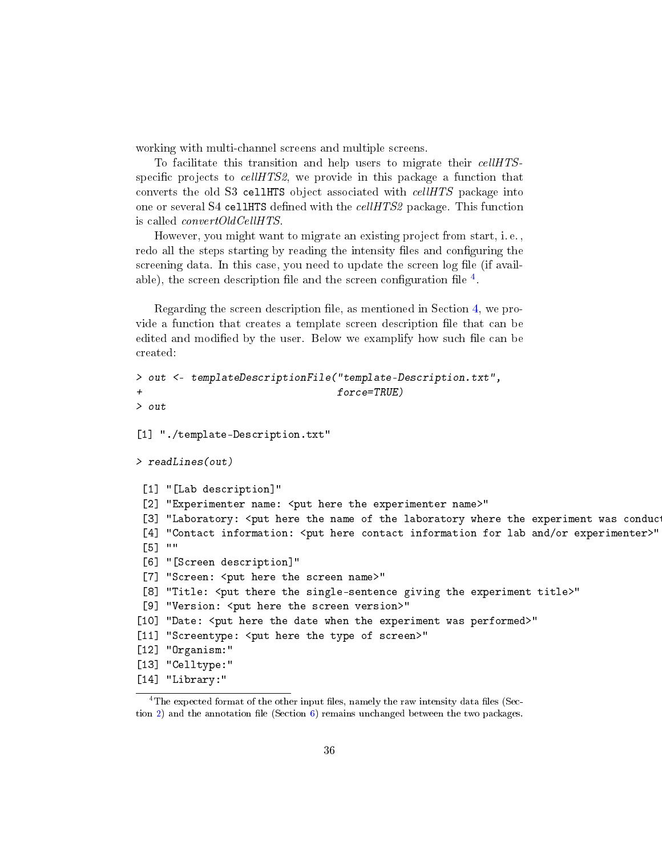working with multi-channel screens and multiple screens.

To facilitate this transition and help users to migrate their cellHTSspecific projects to  $cellHTS2$ , we provide in this package a function that converts the old S3 cellHTS object associated with cellHTS package into one or several S4 cellHTS defined with the cellHTS2 package. This function is called convertOldCellHTS.

However, you might want to migrate an existing project from start, i. e. , redo all the steps starting by reading the intensity files and configuring the screening data. In this case, you need to update the screen log file (if available), the screen description file and the screen configuration file  $^4$  $^4$ .

Regarding the screen description file, as mentioned in Section [4,](#page-9-0) we provide a function that creates a template screen description file that can be edited and modified by the user. Below we examplify how such file can be created:

```
> out <- templateDescriptionFile("template-Description.txt",
+ force=TRUE)
> out
[1] "./template-Description.txt"
> readLines(out)
[1] "[Lab description]"
[2] "Experimenter name: <put here the experimenter name>"
[3] "Laboratory: <put here the name of the laboratory where the experiment was conduc
[4] "Contact information: <put here contact information for lab and/or experimenter>"
[5] ""
[6] "[Screen description]"
[7] "Screen: <put here the screen name>"
[8] "Title: <put there the single-sentence giving the experiment title>"
[9] "Version: < put here the screen version>"
[10] "Date: <put here the date when the experiment was performed>"
[11] "Screentype: < put here the type of screen>"
[12] "Organism:"
[13] "Celltype:"
[14] "Library:"
```
<span id="page-35-0"></span> $4$ The expected format of the other input files, namely the raw intensity data files (Sec-tion [2\)](#page-2-0) and the annotation file (Section [6\)](#page-19-0) remains unchanged between the two packages.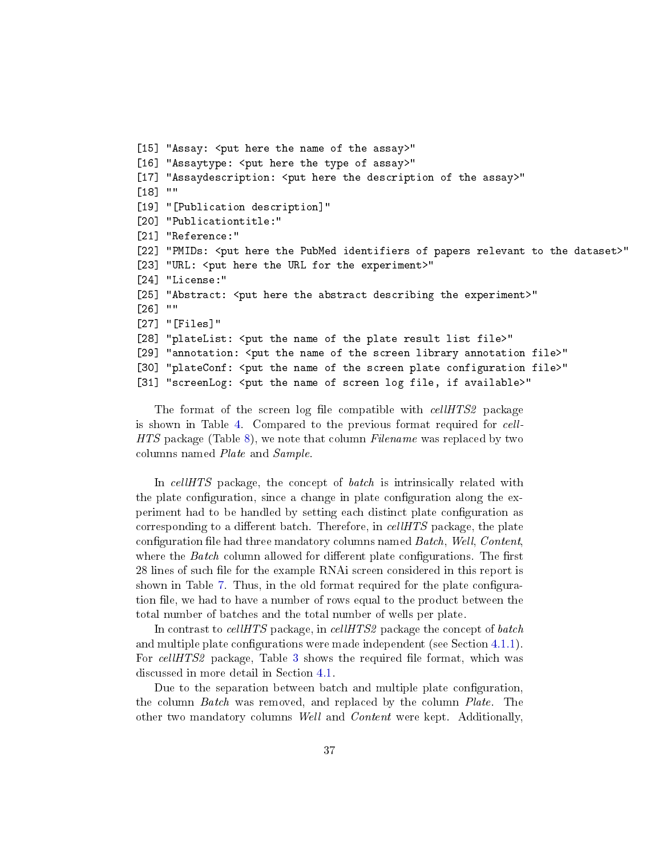```
[15] "Assay: < put here the name of the assay>"
[16] "Assaytype: <put here the type of assay>"
[17] "Assaydescription: <put here the description of the assay>"
[18] ""
[19] "[Publication description]"
[20] "Publicationtitle:"
[21] "Reference:"
[22] "PMIDs: <put here the PubMed identifiers of papers relevant to the dataset>"
[23] "URL: <put here the URL for the experiment>"
[24] "License:"
[25] "Abstract: <put here the abstract describing the experiment>"
[26] ""
[27] "[Files]"
[28] "plateList: <put the name of the plate result list file>"
[29] "annotation: <put the name of the screen library annotation file>"
[30] "plateConf: <put the name of the screen plate configuration file>"
[31] "screenLog: <put the name of screen log file, if available>"
```
The format of the screen log file compatible with *cellHTS2* package is shown in Table [4.](#page-10-0) Compared to the previous format required for cell-HTS package (Table [8\)](#page-38-3), we note that column Filename was replaced by two columns named Plate and Sample.

In cellHTS package, the concept of *batch* is intrinsically related with the plate configuration, since a change in plate configuration along the experiment had to be handled by setting each distinct plate configuration as corresponding to a different batch. Therefore, in  $cellHTS$  package, the plate configuration file had three mandatory columns named Batch, Well, Content, where the *Batch* column allowed for different plate configurations. The first 28 lines of such file for the example RNAi screen considered in this report is shown in Table [7.](#page-37-0) Thus, in the old format required for the plate configuration file, we had to have a number of rows equal to the product between the total number of batches and the total number of wells per plate.

In contrast to cellHTS package, in cellHTS2 package the concept of batch and multiple plate configurations were made independent (see Section  $4.1.1$ ). For cellHTS2 package, Table [3](#page-9-1) shows the required file format, which was discussed in more detail in Section [4.1.](#page-11-0)

Due to the separation between batch and multiple plate configuration, the column Batch was removed, and replaced by the column Plate. The other two mandatory columns Well and Content were kept. Additionally,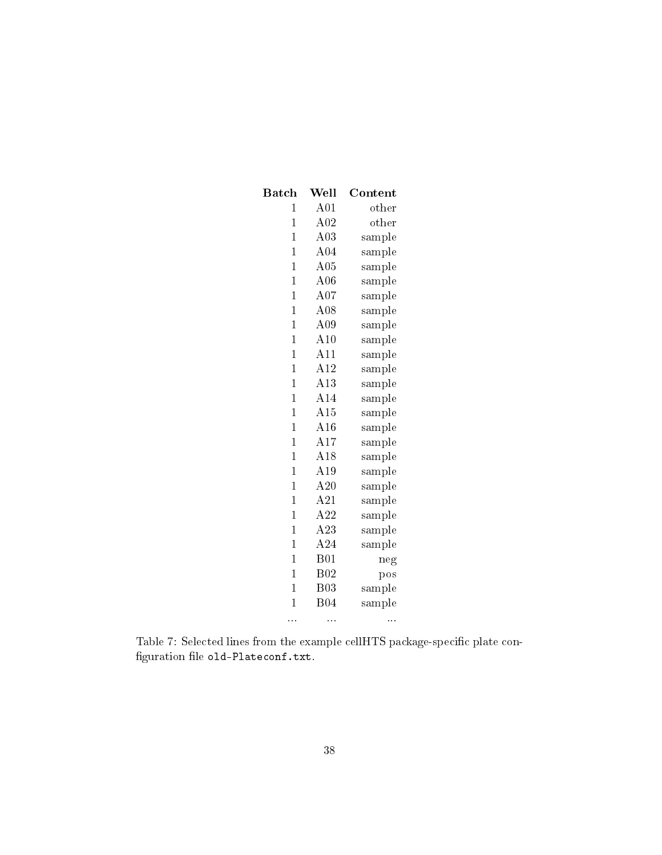| ${\bf Batch}$  | Well       | ${\bf Content}$ |
|----------------|------------|-----------------|
| $\overline{1}$ | A01        | other           |
| 1              | A02        | other           |
| $\mathbf 1$    | A03        | sample          |
| 1              | A04        | sample          |
| $\mathbf 1$    | A05        | sample          |
| 1              | A06        | sample          |
| $\mathbf{1}$   | A07        | sample          |
| $\overline{1}$ | A08        | sample          |
| $\mathbf{1}$   | A09        | sample          |
| $\overline{1}$ | A10        | sample          |
| $\mathbf{1}$   | A11        | sample          |
| $\overline{1}$ | A12        | sample          |
| $\mathbf 1$    | A13        | sample          |
| $\overline{1}$ | A14        | sample          |
| 1              | A15        | sample          |
| $\overline{1}$ | A16        | sample          |
| 1              | A17        | sample          |
| $\overline{1}$ | A18        | sample          |
| 1              | A19        | sample          |
| $\mathbf 1$    | A20        | sample          |
| 1              | A21        | sample          |
| $\mathbf 1$    | A22        | sample          |
| 1              | A23        | sample          |
| $\mathbf 1$    | A24        | sample          |
| 1              | B01        | neg             |
| $\mathbf 1$    | B02        | pos             |
| $\overline{1}$ | <b>B03</b> | sample          |
| $\mathbf{1}$   | <b>B04</b> | sample          |
| .              | i i i      | i i i           |

<span id="page-37-0"></span>Table 7: Selected lines from the example cellHTS package-specific plate con- ${\rm figuration\ file\ oldph{old-Plateconf.txt.}}$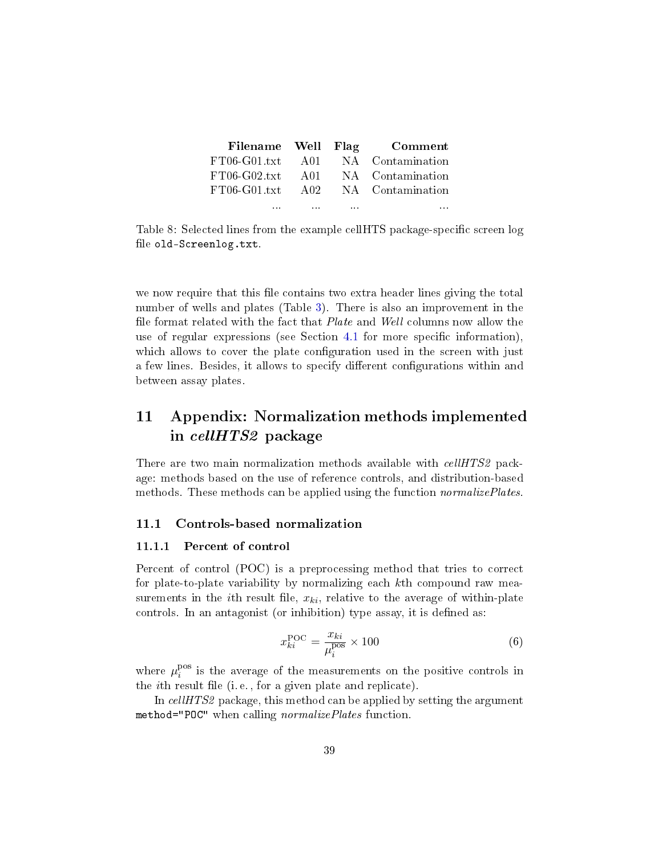|                                                           | Filename Well Flag Comment        |
|-----------------------------------------------------------|-----------------------------------|
|                                                           | FT06-G01.txt A01 NA Contamination |
|                                                           | FT06-G02.txt A01 NA Contamination |
|                                                           | FT06-G01.txt A02 NA Contamination |
| and a series of the company of the company of the company | $\cdots$                          |

<span id="page-38-3"></span>Table 8: Selected lines from the example cellHTS package-specific screen log file old-Screenlog.txt.

we now require that this file contains two extra header lines giving the total number of wells and plates (Table [3\)](#page-9-1). There is also an improvement in the file format related with the fact that *Plate* and *Well* columns now allow the use of regular expressions (see Section [4.1](#page-11-0) for more specific information), which allows to cover the plate configuration used in the screen with just a few lines. Besides, it allows to specify different configurations within and between assay plates.

# <span id="page-38-0"></span>11 Appendix: Normalization methods implemented in cellHTS2 package

There are two main normalization methods available with *cellHTS2* package: methods based on the use of reference controls, and distribution-based methods. These methods can be applied using the function *normalizePlates*.

#### <span id="page-38-1"></span>11.1 Controls-based normalization

#### <span id="page-38-2"></span>11.1.1 Percent of control

Percent of control (POC) is a preprocessing method that tries to correct for plate-to-plate variability by normalizing each kth compound raw measurements in the *i*th result file,  $x_{ki}$ , relative to the average of within-plate controls. In an antagonist (or inhibition) type assay, it is dened as:

$$
x_{ki}^{\rm POC} = \frac{x_{ki}}{\mu_i^{\rm pos}} \times 100\tag{6}
$$

where  $\mu_i^{\text{pos}}$  $i$ <sup>pos</sup> is the average of the measurements on the positive controls in the *i*th result file (i.e., for a given plate and replicate).

In cellHTS2 package, this method can be applied by setting the argument method="POC" when calling *normalizePlates* function.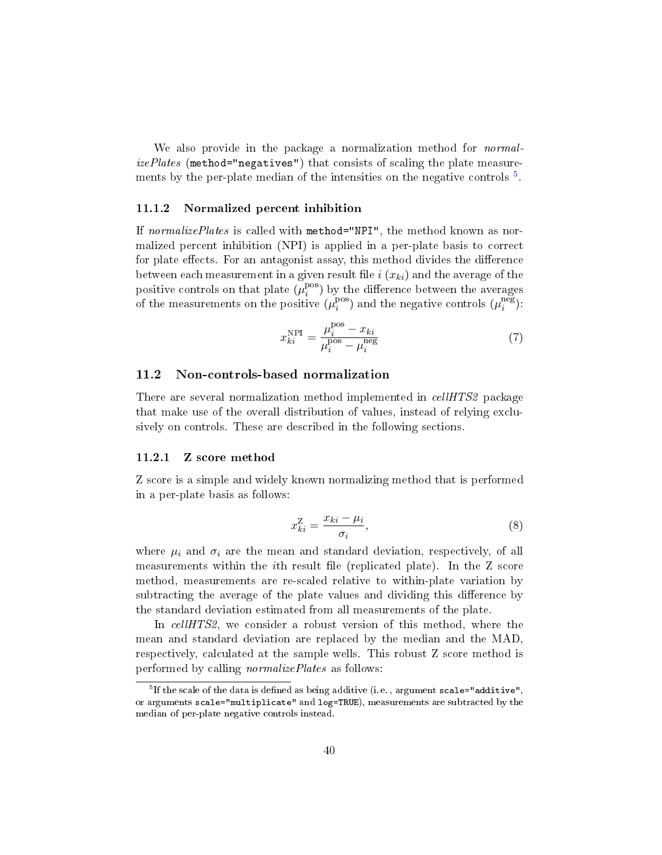We also provide in the package a normalization method for *normal*izePlates (method="negatives") that consists of scaling the plate measurements by the per-plate median of the intensities on the negative controls  $^5$  $^5$ .

#### <span id="page-39-0"></span>11.1.2 Normalized percent inhibition

If normalizePlates is called with method="NPI", the method known as normalized percent inhibition (NPI) is applied in a per-plate basis to correct for plate effects. For an antagonist assay, this method divides the difference between each measurement in a given result file  $i(x_{ki})$  and the average of the positive controls on that plate  $(\mu_i^{\text{pos}})$  $\binom{\text{pos}}{i}$  by the difference between the averages of the measurements on the positive  $(\mu_i^{\text{pos}})$  $\binom{\text{pos}}{i}$  and the negative controls  $(\mu_i^{\text{neg}})$  $i^{\text{neg}}$ ):

$$
x_{ki}^{\text{NPI}} = \frac{\mu_i^{\text{pos}} - x_{ki}}{\mu_i^{\text{pos}} - \mu_i^{\text{neg}}}
$$
\n
$$
\tag{7}
$$

#### <span id="page-39-1"></span>11.2 Non-controls-based normalization

There are several normalization method implemented in *cellHTS2* package that make use of the overall distribution of values, instead of relying exclusively on controls. These are described in the following sections.

#### <span id="page-39-2"></span>11.2.1 Z score method

Z score is a simple and widely known normalizing method that is performed in a per-plate basis as follows:

$$
x_{ki}^Z = \frac{x_{ki} - \mu_i}{\sigma_i},\tag{8}
$$

where  $\mu_i$  and  $\sigma_i$  are the mean and standard deviation, respectively, of all measurements within the *i*th result file (replicated plate). In the  $Z$  score method, measurements are re-scaled relative to within-plate variation by subtracting the average of the plate values and dividing this difference by the standard deviation estimated from all measurements of the plate.

In cellHTS2, we consider a robust version of this method, where the mean and standard deviation are replaced by the median and the MAD, respectively, calculated at the sample wells. This robust Z score method is performed by calling normalizePlates as follows:

<span id="page-39-3"></span> $^5$ If the scale of the data is defined as being additive (i.e. , argument  $\tt scale="additive",$ or arguments scale="multiplicate" and log=TRUE), measurements are subtracted by the median of per-plate negative controls instead.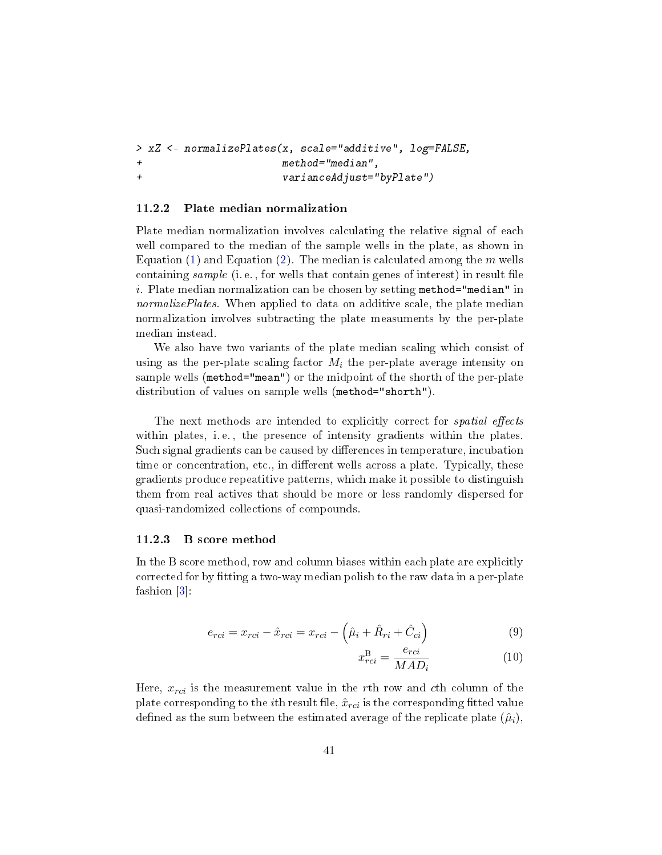```
> xZ <- normalizePlates(x, scale="additive", log=FALSE,
+ method="median",
+ varianceAdjust="byPlate")
```
#### <span id="page-40-0"></span>11.2.2 Plate median normalization

Plate median normalization involves calculating the relative signal of each well compared to the median of the sample wells in the plate, as shown in Equation [\(1\)](#page-16-0) and Equation [\(2\)](#page-16-0). The median is calculated among the  $m$  wells containing sample (i.e., for wells that contain genes of interest) in result file i. Plate median normalization can be chosen by setting method="median" in normalizePlates. When applied to data on additive scale, the plate median normalization involves subtracting the plate measuments by the per-plate median instead.

We also have two variants of the plate median scaling which consist of using as the per-plate scaling factor  $M_i$  the per-plate average intensity on sample wells (method="mean") or the midpoint of the shorth of the per-plate distribution of values on sample wells (method="shorth").

The next methods are intended to explicitly correct for *spatial effects* within plates, i.e., the presence of intensity gradients within the plates. Such signal gradients can be caused by differences in temperature, incubation time or concentration, etc., in different wells across a plate. Typically, these gradients produce repeatitive patterns, which make it possible to distinguish them from real actives that should be more or less randomly dispersed for quasi-randomized collections of compounds.

#### <span id="page-40-1"></span>11.2.3 B score method

In the B score method, row and column biases within each plate are explicitly corrected for by tting a two-way median polish to the raw data in a per-plate fashion [\[3\]](#page-43-5):

<span id="page-40-2"></span>
$$
e_{rci} = x_{rci} - \hat{x}_{rci} = x_{rci} - \left(\hat{\mu}_i + \hat{R}_{ri} + \hat{C}_{ci}\right)
$$
\n(9)

$$
x_{rci}^{\text{B}} = \frac{e_{rci}}{MAD_i} \tag{10}
$$

Here,  $x_{rci}$  is the measurement value in the rth row and cth column of the plate corresponding to the *i*th result file,  $\hat{x}_{rci}$  is the corresponding fitted value defined as the sum between the estimated average of the replicate plate  $(\hat{\mu}_i)$ ,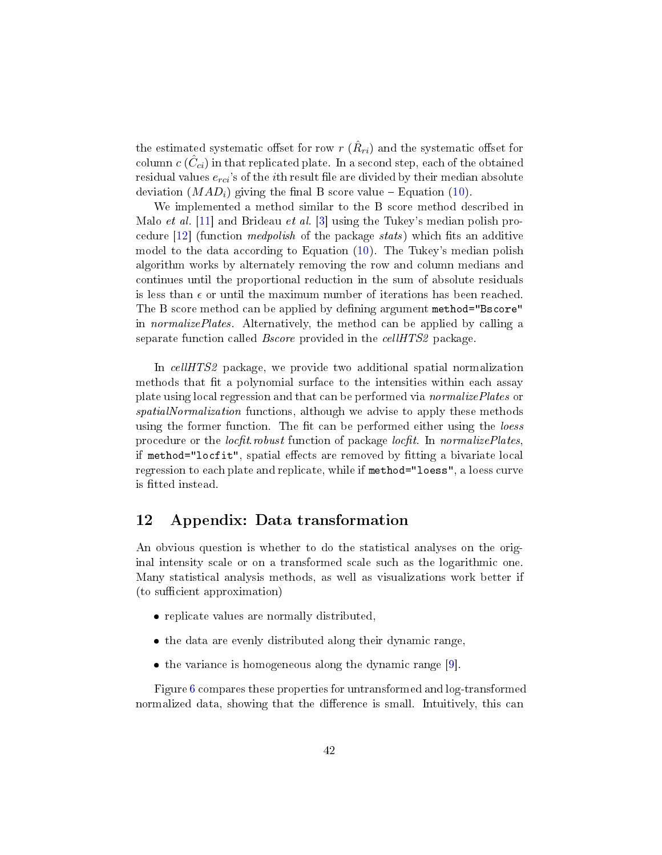<span id="page-41-1"></span>the estimated systematic offset for row  $r$   $(\hat{R}_{ri})$  and the systematic offset for  $\operatorname{column} c\,(\hat{C}_{ci})$  in that replicated plate. In a second step, each of the obtained residual values  $e_{rci}$ 's of the *i*th result file are divided by their median absolute deviation  $(MAD_i)$  giving the final B score value – Equation [\(10\)](#page-40-2).

We implemented a method similar to the B score method described in Malo et al. [\[11\]](#page-44-5) and Brideau et al. [\[3\]](#page-43-5) using the Tukey's median polish pro-cedure [\[12\]](#page-44-6) (function *medpolish* of the package *stats*) which fits an additive model to the data according to Equation [\(10\)](#page-40-2). The Tukey's median polish algorithm works by alternately removing the row and column medians and continues until the proportional reduction in the sum of absolute residuals is less than  $\epsilon$  or until the maximum number of iterations has been reached. The B score method can be applied by defining argument method="Bscore" in normalizePlates. Alternatively, the method can be applied by calling a separate function called *Bscore* provided in the *cellHTS2* package.

In cellHTS2 package, we provide two additional spatial normalization methods that fit a polynomial surface to the intensities within each assay plate using local regression and that can be performed via normalizePlates or spatialNormalization functions, although we advise to apply these methods using the former function. The fit can be performed either using the loess procedure or the *locfit robust* function of package *locfit*. In *normalizePlates*, if method="locfit", spatial effects are removed by fitting a bivariate local regression to each plate and replicate, while if method="loess", a loess curve is fitted instead.

### <span id="page-41-0"></span>12 Appendix: Data transformation

An obvious question is whether to do the statistical analyses on the original intensity scale or on a transformed scale such as the logarithmic one. Many statistical analysis methods, as well as visualizations work better if (to sufficient approximation)

- replicate values are normally distributed,
- the data are evenly distributed along their dynamic range,
- $\bullet$  the variance is homogeneous along the dynamic range [\[9\]](#page-44-7).

Figure [6](#page-42-0) compares these properties for untransformed and log-transformed normalized data, showing that the difference is small. Intuitively, this can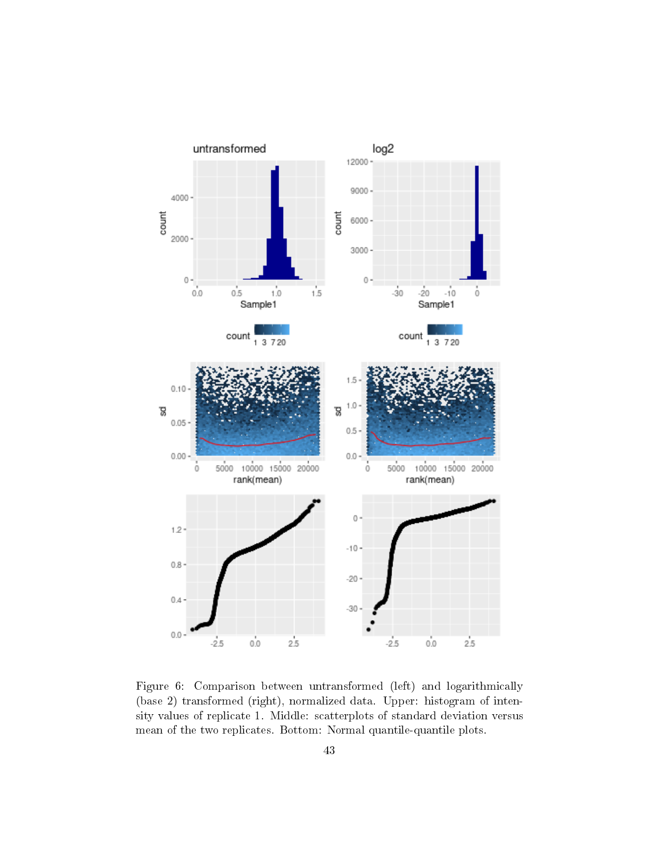

<span id="page-42-0"></span>Figure 6: Comparison between untransformed (left) and logarithmically (base 2) transformed (right), normalized data. Upper: histogram of intensity values of replicate 1. Middle: scatterplots of standard deviation versus mean of the two replicates. Bottom: Normal quantile-quantile plots.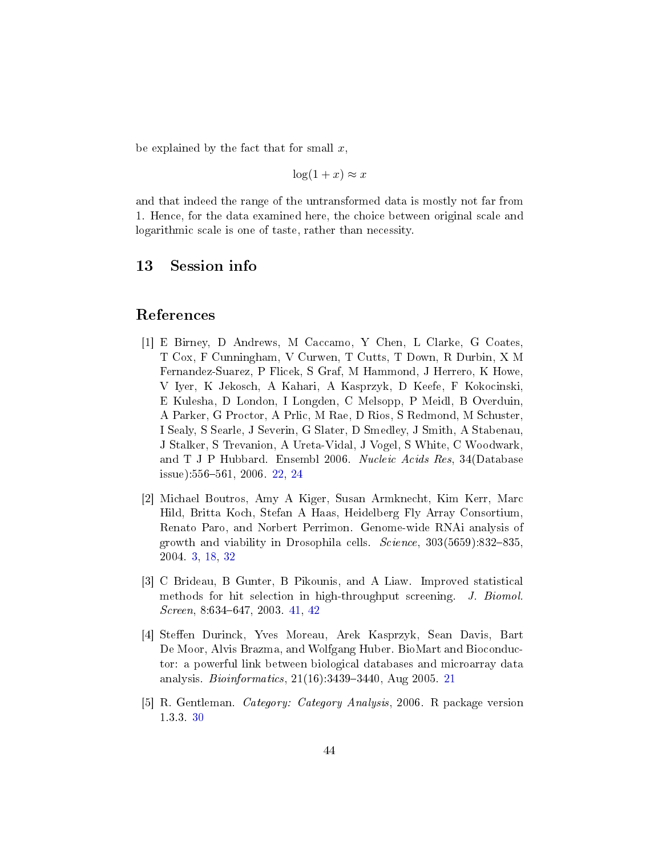be explained by the fact that for small  $x$ .

 $\log(1+x) \approx x$ 

and that indeed the range of the untransformed data is mostly not far from 1. Hence, for the data examined here, the choice between original scale and logarithmic scale is one of taste, rather than necessity.

# <span id="page-43-0"></span>13 Session info

### References

- <span id="page-43-3"></span>[1] E Birney, D Andrews, M Caccamo, Y Chen, L Clarke, G Coates, T Cox, F Cunningham, V Curwen, T Cutts, T Down, R Durbin, X M Fernandez-Suarez, P Flicek, S Graf, M Hammond, J Herrero, K Howe, V Iyer, K Jekosch, A Kahari, A Kasprzyk, D Keefe, F Kokocinski, E Kulesha, D London, I Longden, C Melsopp, P Meidl, B Overduin, A Parker, G Proctor, A Prlic, M Rae, D Rios, S Redmond, M Schuster, I Sealy, S Searle, J Severin, G Slater, D Smedley, J Smith, A Stabenau, J Stalker, S Trevanion, A Ureta-Vidal, J Vogel, S White, C Woodwark, and T J P Hubbard. Ensembl 2006. Nucleic Acids Res, 34(Database issue): 556-561, 2006. [22,](#page-21-2) [24](#page-23-0)
- <span id="page-43-1"></span>[2] Michael Boutros, Amy A Kiger, Susan Armknecht, Kim Kerr, Marc Hild, Britta Koch, Stefan A Haas, Heidelberg Fly Array Consortium, Renato Paro, and Norbert Perrimon. Genome-wide RNAi analysis of growth and viability in Drosophila cells.  $Science$ ,  $303(5659):832-835$ . 2004. [3,](#page-2-2) [18,](#page-17-1) [32](#page-31-1)
- <span id="page-43-5"></span>[3] C Brideau, B Gunter, B Pikounis, and A Liaw. Improved statistical methods for hit selection in high-throughput screening. J. Biomol.  $Screen, 8.634–647, 2003. 41, 42$  $Screen, 8.634–647, 2003. 41, 42$  $Screen, 8.634–647, 2003. 41, 42$  $Screen, 8.634–647, 2003. 41, 42$
- <span id="page-43-2"></span>[4] Steffen Durinck, Yves Moreau, Arek Kasprzyk, Sean Davis, Bart De Moor, Alvis Brazma, and Wolfgang Huber. BioMart and Bioconductor: a powerful link between biological databases and microarray data analysis. *Bioinformatics*,  $21(16)$  $21(16)$ :  $3439 - 3440$ , Aug 2005. 21
- <span id="page-43-4"></span>[5] R. Gentleman. Category: Category Analysis, 2006. R package version 1.3.3. [30](#page-29-1)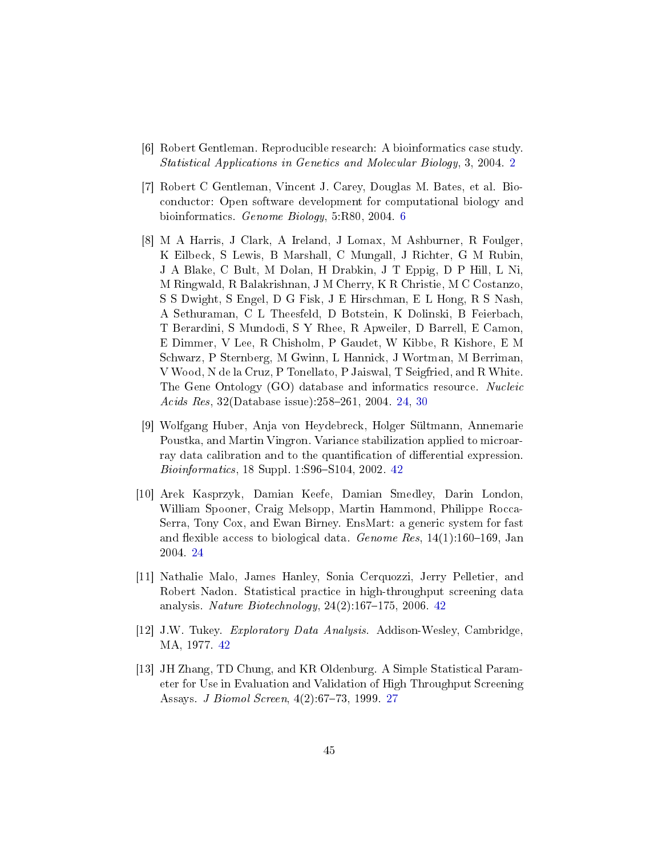- <span id="page-44-0"></span>[6] Robert Gentleman. Reproducible research: A bioinformatics case study. Statistical Applications in Genetics and Molecular Biology, 3, 2004. [2](#page-1-2)
- <span id="page-44-1"></span>[7] Robert C Gentleman, Vincent J. Carey, Douglas M. Bates, et al. Bioconductor: Open software development for computational biology and bioinformatics. Genome Biology, 5:R80, 2004. [6](#page-5-1)
- <span id="page-44-3"></span>[8] M A Harris, J Clark, A Ireland, J Lomax, M Ashburner, R Foulger, K Eilbeck, S Lewis, B Marshall, C Mungall, J Richter, G M Rubin, J A Blake, C Bult, M Dolan, H Drabkin, J T Eppig, D P Hill, L Ni, M Ringwald, R Balakrishnan, J M Cherry, K R Christie, M C Costanzo, S S Dwight, S Engel, D G Fisk, J E Hirschman, E L Hong, R S Nash, A Sethuraman, C L Theesfeld, D Botstein, K Dolinski, B Feierbach, T Berardini, S Mundodi, S Y Rhee, R Apweiler, D Barrell, E Camon, E Dimmer, V Lee, R Chisholm, P Gaudet, W Kibbe, R Kishore, E M Schwarz, P Sternberg, M Gwinn, L Hannick, J Wortman, M Berriman, V Wood, N de la Cruz, P Tonellato, P Jaiswal, T Seigfried, and R White. The Gene Ontology (GO) database and informatics resource. Nucleic *Acids Res*, 32(Database issue):258-261, 2004. [24,](#page-23-0) [30](#page-29-1)
- <span id="page-44-7"></span>[9] Wolfgang Huber, Anja von Heydebreck, Holger Sültmann, Annemarie Poustka, and Martin Vingron. Variance stabilization applied to microarray data calibration and to the quantification of differential expression.  $Bioinformatics, 18 Suppl. 1: S96-S104, 2002. 42$  $Bioinformatics, 18 Suppl. 1: S96-S104, 2002. 42$
- <span id="page-44-2"></span>[10] Arek Kasprzyk, Damian Keefe, Damian Smedley, Darin London, William Spooner, Craig Melsopp, Martin Hammond, Philippe Rocca-Serra, Tony Cox, and Ewan Birney. EnsMart: a generic system for fast and flexible access to biological data. *Genome Res*,  $14(1):160-169$ , Jan 2004. [24](#page-23-0)
- <span id="page-44-5"></span>[11] Nathalie Malo, James Hanley, Sonia Cerquozzi, Jerry Pelletier, and Robert Nadon. Statistical practice in high-throughput screening data analysis. Nature Biotechnology,  $24(2):167-175$ , 2006.  $42$
- <span id="page-44-6"></span>[12] J.W. Tukey. Exploratory Data Analysis. Addison-Wesley, Cambridge, MA, 1977. [42](#page-41-1)
- <span id="page-44-4"></span>[13] JH Zhang, TD Chung, and KR Oldenburg. A Simple Statistical Parameter for Use in Evaluation and Validation of High Throughput Screening Assays. *J Biomol Screen*, 4(2):67–73, 1999. [27](#page-26-0)